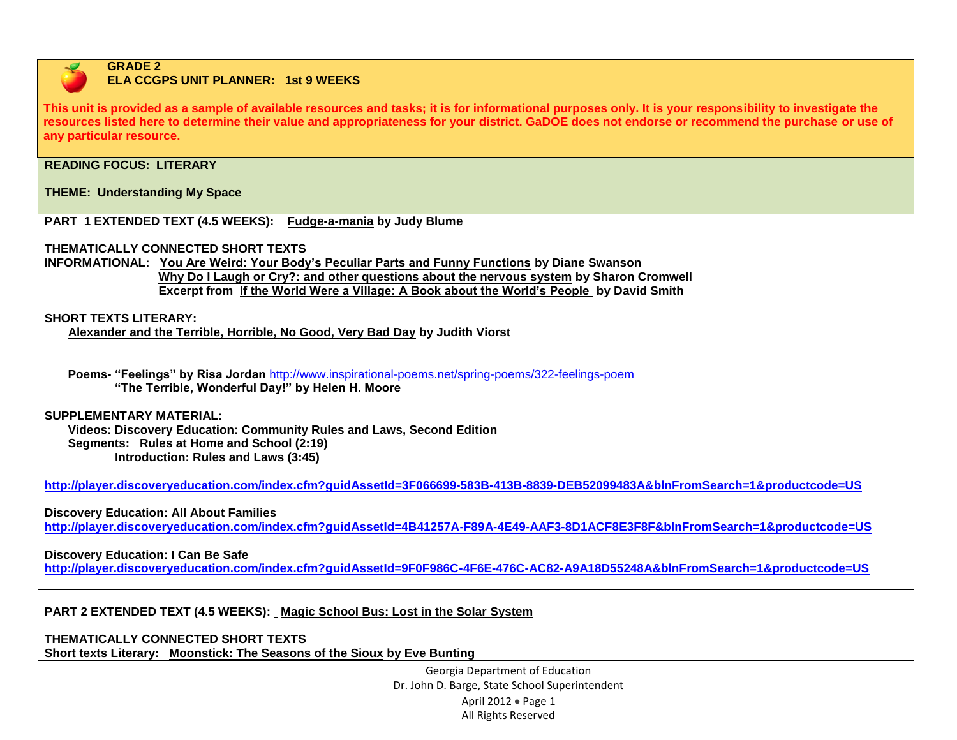

#### **GRADE 2 ELA CCGPS UNIT PLANNER: 1st 9 WEEKS**

**This unit is provided as a sample of available resources and tasks; it is for informational purposes only. It is your responsibility to investigate the resources listed here to determine their value and appropriateness for your district. GaDOE does not endorse or recommend the purchase or use of any particular resource.**

# **READING FOCUS: LITERARY**

**THEME: Understanding My Space**

**PART 1 EXTENDED TEXT (4.5 WEEKS): Fudge-a-mania by Judy Blume**

**THEMATICALLY CONNECTED SHORT TEXTS** 

**INFORMATIONAL: You Are Weird: Your Body's Peculiar Parts and Funny Functions by Diane Swanson Why Do I Laugh or Cry?: and other questions about the nervous system by Sharon Cromwell Excerpt from If the World Were a Village: A Book about the World's People by David Smith**

**SHORT TEXTS LITERARY:** 

 **Alexander and the Terrible, Horrible, No Good, Very Bad Day by Judith Viorst**

 **Poems- "Feelings" by Risa Jordan** <http://www.inspirational-poems.net/spring-poems/322-feelings-poem>  **"The Terrible, Wonderful Day!" by Helen H. Moore**

**SUPPLEMENTARY MATERIAL:** 

 **Videos: Discovery Education: Community Rules and Laws, Second Edition Segments: Rules at Home and School (2:19) Introduction: Rules and Laws (3:45)**

**<http://player.discoveryeducation.com/index.cfm?guidAssetId=3F066699-583B-413B-8839-DEB52099483A&blnFromSearch=1&productcode=US>**

**Discovery Education: All About Families**

**<http://player.discoveryeducation.com/index.cfm?guidAssetId=4B41257A-F89A-4E49-AAF3-8D1ACF8E3F8F&blnFromSearch=1&productcode=US>**

**Discovery Education: I Can Be Safe**

**<http://player.discoveryeducation.com/index.cfm?guidAssetId=9F0F986C-4F6E-476C-AC82-A9A18D55248A&blnFromSearch=1&productcode=US>**

**PART 2 EXTENDED TEXT (4.5 WEEKS): Magic School Bus: Lost in the Solar System**

**THEMATICALLY CONNECTED SHORT TEXTS Short texts Literary: Moonstick: The Seasons of the Sioux by Eve Bunting**

> Georgia Department of Education Dr. John D. Barge, State School Superintendent April 2012  $\bullet$  Page 1 All Rights Reserved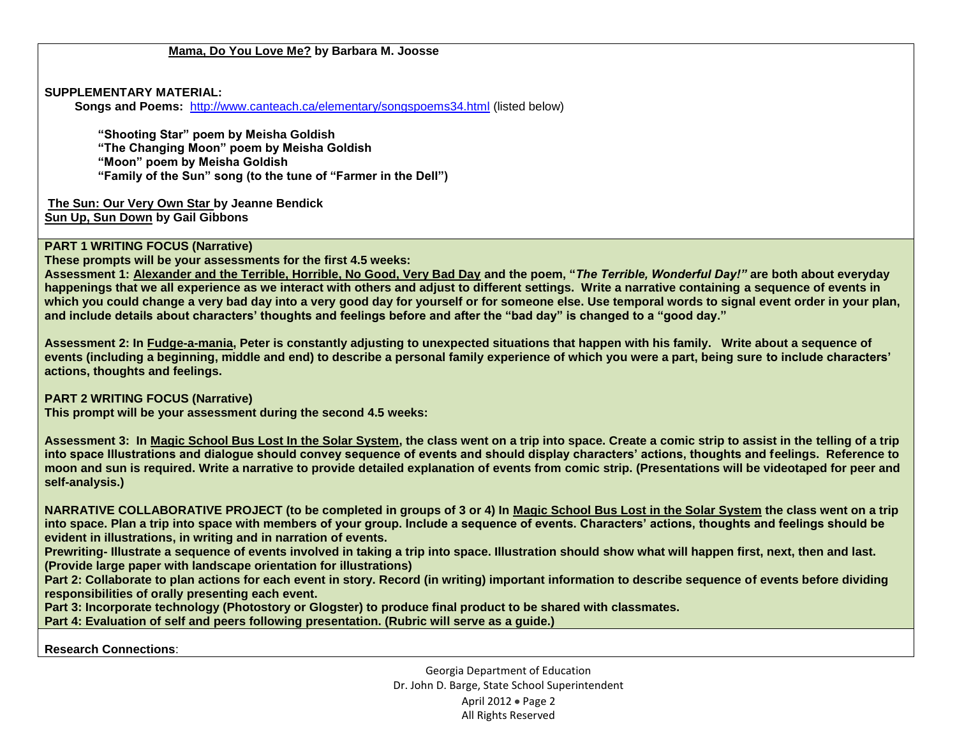# **Mama, Do You Love Me? by Barbara M. Joosse**

### **SUPPLEMENTARY MATERIAL:**

**Songs and Poems:** <http://www.canteach.ca/elementary/songspoems34.html> (listed below)

 **"Shooting Star" poem by Meisha Goldish "The Changing Moon" poem by Meisha Goldish "Moon" poem by Meisha Goldish "Family of the Sun" song (to the tune of "Farmer in the Dell")** 

**The Sun: Our Very Own Star by Jeanne Bendick Sun Up, Sun Down by Gail Gibbons**

# **PART 1 WRITING FOCUS (Narrative)**

**These prompts will be your assessments for the first 4.5 weeks:**

**Assessment 1: Alexander and the Terrible, Horrible, No Good, Very Bad Day and the poem, "***The Terrible, Wonderful Day!"* **are both about everyday happenings that we all experience as we interact with others and adjust to different settings. Write a narrative containing a sequence of events in which you could change a very bad day into a very good day for yourself or for someone else. Use temporal words to signal event order in your plan, and include details about characters' thoughts and feelings before and after the "bad day" is changed to a "good day."**

**Assessment 2: In Fudge-a-mania, Peter is constantly adjusting to unexpected situations that happen with his family. Write about a sequence of events (including a beginning, middle and end) to describe a personal family experience of which you were a part, being sure to include characters' actions, thoughts and feelings.**

**PART 2 WRITING FOCUS (Narrative) This prompt will be your assessment during the second 4.5 weeks:**

**Assessment 3: In Magic School Bus Lost In the Solar System, the class went on a trip into space. Create a comic strip to assist in the telling of a trip into space Illustrations and dialogue should convey sequence of events and should display characters' actions, thoughts and feelings. Reference to moon and sun is required. Write a narrative to provide detailed explanation of events from comic strip. (Presentations will be videotaped for peer and self-analysis.)** 

**NARRATIVE COLLABORATIVE PROJECT (to be completed in groups of 3 or 4) In Magic School Bus Lost in the Solar System the class went on a trip into space. Plan a trip into space with members of your group. Include a sequence of events. Characters' actions, thoughts and feelings should be evident in illustrations, in writing and in narration of events.** 

**Prewriting- Illustrate a sequence of events involved in taking a trip into space. Illustration should show what will happen first, next, then and last. (Provide large paper with landscape orientation for illustrations)**

**Part 2: Collaborate to plan actions for each event in story. Record (in writing) important information to describe sequence of events before dividing responsibilities of orally presenting each event.**

**Part 3: Incorporate technology (Photostory or Glogster) to produce final product to be shared with classmates. Part 4: Evaluation of self and peers following presentation. (Rubric will serve as a guide.)**

**Research Connections**:

Georgia Department of Education Dr. John D. Barge, State School Superintendent April 2012 • Page 2 All Rights Reserved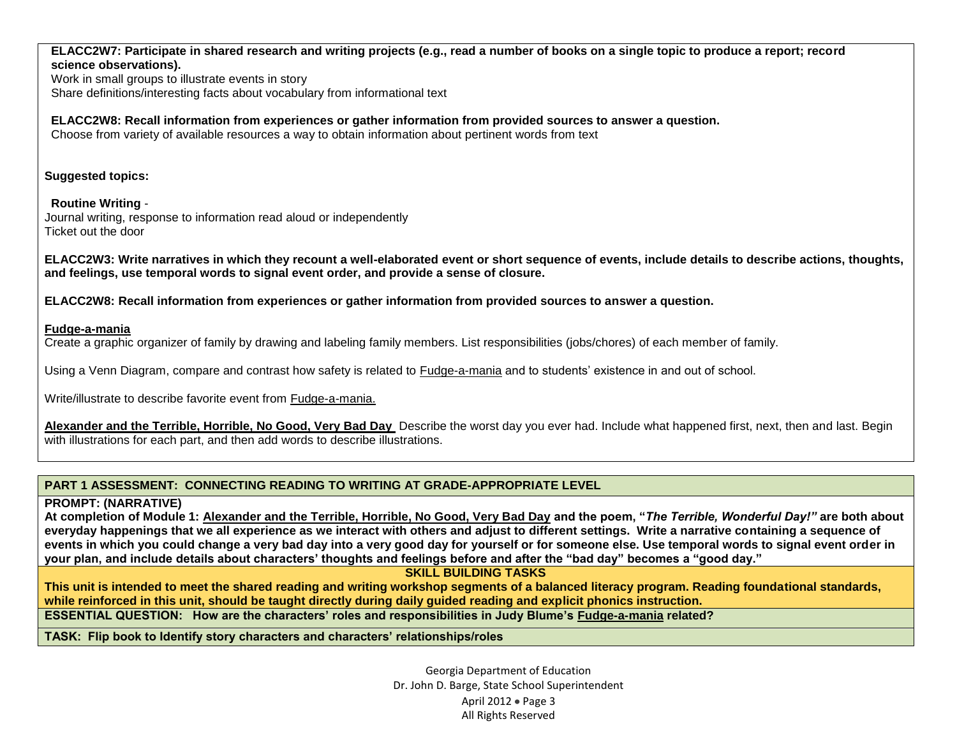### **ELACC2W7: Participate in shared research and writing projects (e.g., read a number of books on a single topic to produce a report; record science observations).**  Work in small groups to illustrate events in story

Share definitions/interesting facts about vocabulary from informational text

**ELACC2W8: Recall information from experiences or gather information from provided sources to answer a question.** Choose from variety of available resources a way to obtain information about pertinent words from text

**Suggested topics:** 

 **Routine Writing** - Journal writing, response to information read aloud or independently Ticket out the door

**ELACC2W3: Write narratives in which they recount a well-elaborated event or short sequence of events, include details to describe actions, thoughts, and feelings, use temporal words to signal event order, and provide a sense of closure.** 

**ELACC2W8: Recall information from experiences or gather information from provided sources to answer a question.**

**Fudge-a-mania**

Create a graphic organizer of family by drawing and labeling family members. List responsibilities (jobs/chores) of each member of family.

Using a Venn Diagram, compare and contrast how safety is related to Fudge-a-mania and to students' existence in and out of school.

Write/illustrate to describe favorite event from Fudge-a-mania.

**Alexander and the Terrible, Horrible, No Good, Very Bad Day** Describe the worst day you ever had. Include what happened first, next, then and last. Begin with illustrations for each part, and then add words to describe illustrations.

# **PART 1 ASSESSMENT: CONNECTING READING TO WRITING AT GRADE-APPROPRIATE LEVEL**

# **PROMPT: (NARRATIVE)**

**At completion of Module 1: Alexander and the Terrible, Horrible, No Good, Very Bad Day and the poem, "***The Terrible, Wonderful Day!"* **are both about everyday happenings that we all experience as we interact with others and adjust to different settings. Write a narrative containing a sequence of events in which you could change a very bad day into a very good day for yourself or for someone else. Use temporal words to signal event order in your plan, and include details about characters' thoughts and feelings before and after the "bad day" becomes a "good day."**

# **SKILL BUILDING TASKS**

**This unit is intended to meet the shared reading and writing workshop segments of a balanced literacy program. Reading foundational standards, while reinforced in this unit, should be taught directly during daily guided reading and explicit phonics instruction.**

**ESSENTIAL QUESTION: How are the characters' roles and responsibilities in Judy Blume's Fudge-a-mania related?**

**TASK: Flip book to Identify story characters and characters' relationships/roles** 

Georgia Department of Education Dr. John D. Barge, State School Superintendent April 2012  $\bullet$  Page 3 All Rights Reserved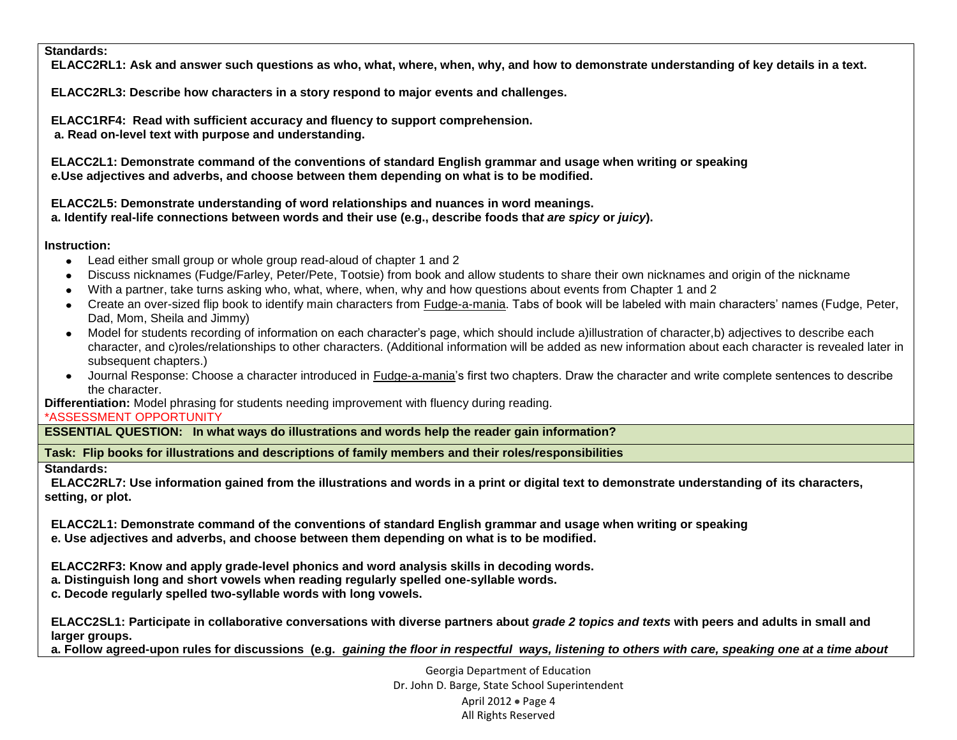#### **Standards:**

 **ELACC2RL1: Ask and answer such questions as who, what, where, when, why, and how to demonstrate understanding of key details in a text.** 

 **ELACC2RL3: Describe how characters in a story respond to major events and challenges.**

**ELACC1RF4: Read with sufficient accuracy and fluency to support comprehension.**

**a. Read on-level text with purpose and understanding.**

**ELACC2L1: Demonstrate command of the conventions of standard English grammar and usage when writing or speaking e.Use adjectives and adverbs, and choose between them depending on what is to be modified.**

**ELACC2L5: Demonstrate understanding of word relationships and nuances in word meanings. a. Identify real-life connections between words and their use (e.g., describe foods tha***t are spicy* **or** *juicy***).** 

### **Instruction:**

- Lead either small group or whole group read-aloud of chapter 1 and 2
- $\bullet$ Discuss nicknames (Fudge/Farley, Peter/Pete, Tootsie) from book and allow students to share their own nicknames and origin of the nickname
- With a partner, take turns asking who, what, where, when, why and how questions about events from Chapter 1 and 2
- Create an over-sized flip book to identify main characters from Fudge-a-mania. Tabs of book will be labeled with main characters' names (Fudge, Peter, Dad, Mom, Sheila and Jimmy)
- Model for students recording of information on each character's page, which should include a)illustration of character,b) adjectives to describe each character, and c)roles/relationships to other characters. (Additional information will be added as new information about each character is revealed later in subsequent chapters.)
- Journal Response: Choose a character introduced in Fudge-a-mania's first two chapters. Draw the character and write complete sentences to describe the character.

**Differentiation:** Model phrasing for students needing improvement with fluency during reading.

\*ASSESSMENT OPPORTUNITY

**ESSENTIAL QUESTION: In what ways do illustrations and words help the reader gain information?**

**Task: Flip books for illustrations and descriptions of family members and their roles/responsibilities**

### **Standards:**

 **ELACC2RL7: Use information gained from the illustrations and words in a print or digital text to demonstrate understanding of its characters, setting, or plot.**

**ELACC2L1: Demonstrate command of the conventions of standard English grammar and usage when writing or speaking e. Use adjectives and adverbs, and choose between them depending on what is to be modified.**

**ELACC2RF3: Know and apply grade-level phonics and word analysis skills in decoding words.**

**a. Distinguish long and short vowels when reading regularly spelled one-syllable words.**

**c. Decode regularly spelled two-syllable words with long vowels.**

**ELACC2SL1: Participate in collaborative conversations with diverse partners about** *grade 2 topics and texts* **with peers and adults in small and larger groups.** 

**a. Follow agreed-upon rules for discussions (e.g.** *gaining the floor in respectful ways, listening to others with care, speaking one at a time about* 

Georgia Department of Education Dr. John D. Barge, State School Superintendent April 2012  $\bullet$  Page 4 All Rights Reserved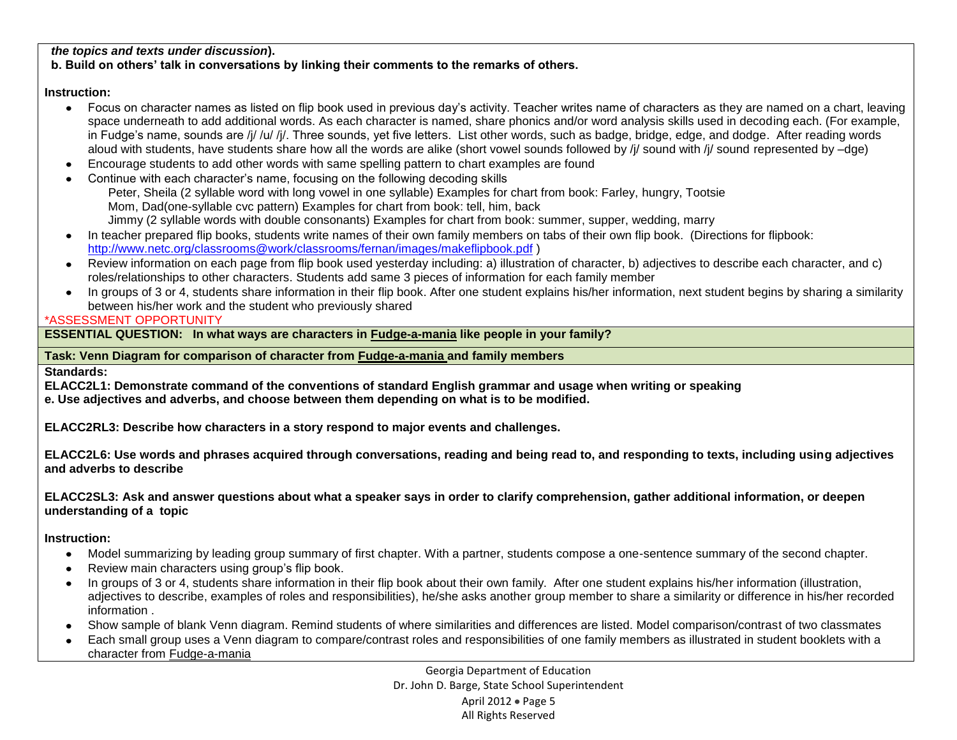### *the topics and texts under discussion***).**

# **b. Build on others' talk in conversations by linking their comments to the remarks of others.**

**Instruction:** 

- $\bullet$ Focus on character names as listed on flip book used in previous day's activity. Teacher writes name of characters as they are named on a chart, leaving space underneath to add additional words. As each character is named, share phonics and/or word analysis skills used in decoding each. (For example, in Fudge's name, sounds are /j/ /u/ /j/. Three sounds, yet five letters. List other words, such as badge, bridge, edge, and dodge. After reading words aloud with students, have students share how all the words are alike (short vowel sounds followed by /j/ sound with /j/ sound represented by -dge)
- Encourage students to add other words with same spelling pattern to chart examples are found  $\bullet$
- Continue with each character's name, focusing on the following decoding skills Peter, Sheila (2 syllable word with long vowel in one syllable) Examples for chart from book: Farley, hungry, Tootsie Mom, Dad(one-syllable cvc pattern) Examples for chart from book: tell, him, back Jimmy (2 syllable words with double consonants) Examples for chart from book: summer, supper, wedding, marry
- In teacher prepared flip books, students write names of their own family members on tabs of their own flip book. (Directions for flipbook:  $\bullet$ <http://www.netc.org/classrooms@work/classrooms/fernan/images/makeflipbook.pdf> )
- Review information on each page from flip book used yesterday including: a) illustration of character, b) adjectives to describe each character, and c) roles/relationships to other characters. Students add same 3 pieces of information for each family member
- In groups of 3 or 4, students share information in their flip book. After one student explains his/her information, next student begins by sharing a similarity between his/her work and the student who previously shared

# \*ASSESSMENT OPPORTUNITY

# **ESSENTIAL QUESTION: In what ways are characters in Fudge-a-mania like people in your family?**

### **Task: Venn Diagram for comparison of character from Fudge-a-mania and family members**

**Standards:** 

**ELACC2L1: Demonstrate command of the conventions of standard English grammar and usage when writing or speaking**

**e. Use adjectives and adverbs, and choose between them depending on what is to be modified.**

**ELACC2RL3: Describe how characters in a story respond to major events and challenges.**

**ELACC2L6: Use words and phrases acquired through conversations, reading and being read to, and responding to texts, including using adjectives and adverbs to describe**

**ELACC2SL3: Ask and answer questions about what a speaker says in order to clarify comprehension, gather additional information, or deepen understanding of a topic** 

**Instruction:** 

- Model summarizing by leading group summary of first chapter. With a partner, students compose a one-sentence summary of the second chapter.
- Review main characters using group's flip book.  $\bullet$
- In groups of 3 or 4, students share information in their flip book about their own family. After one student explains his/her information (illustration, adjectives to describe, examples of roles and responsibilities), he/she asks another group member to share a similarity or difference in his/her recorded information .
- Show sample of blank Venn diagram. Remind students of where similarities and differences are listed. Model comparison/contrast of two classmates
- Each small group uses a Venn diagram to compare/contrast roles and responsibilities of one family members as illustrated in student booklets with a character from Fudge-a-mania

Georgia Department of Education Dr. John D. Barge, State School Superintendent April 2012  $\bullet$  Page 5 All Rights Reserved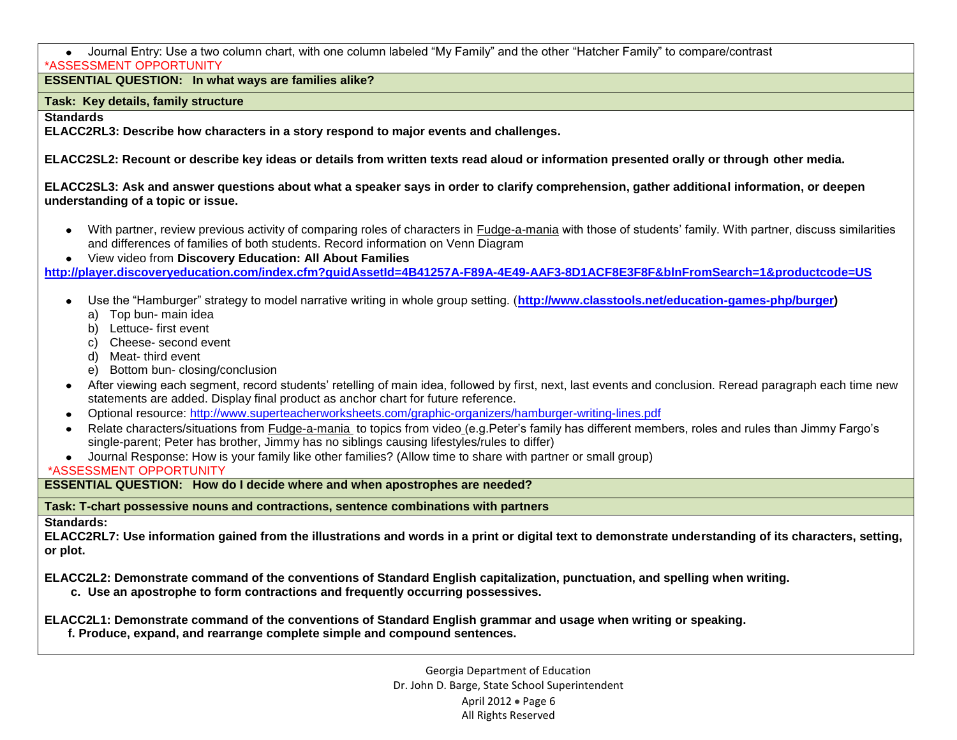### Journal Entry: Use a two column chart, with one column labeled "My Family" and the other "Hatcher Family" to compare/contrast \*ASSESSMENT OPPORTUNITY

**ESSENTIAL QUESTION: In what ways are families alike?**

### **Task: Key details, family structure**

**Standards**

**ELACC2RL3: Describe how characters in a story respond to major events and challenges.**

**ELACC2SL2: Recount or describe key ideas or details from written texts read aloud or information presented orally or through other media.** 

**ELACC2SL3: Ask and answer questions about what a speaker says in order to clarify comprehension, gather additional information, or deepen understanding of a topic or issue.** 

- With partner, review previous activity of comparing roles of characters in Fudge-a-mania with those of students' family. With partner, discuss similarities and differences of families of both students. Record information on Venn Diagram
- View video from **Discovery Education: All About Families**

**<http://player.discoveryeducation.com/index.cfm?guidAssetId=4B41257A-F89A-4E49-AAF3-8D1ACF8E3F8F&blnFromSearch=1&productcode=US>**

- Use the "Hamburger" strategy to model narrative writing in whole group setting. (**[http://www.classtools.net/education-games-php/burger\)](http://www.classtools.net/education-games-php/burger)**
	- a) Top bun- main idea
	- b) Lettuce- first event
	- c) Cheese- second event
	- d) Meat- third event
	- e) Bottom bun- closing/conclusion
- After viewing each segment, record students' retelling of main idea, followed by first, next, last events and conclusion. Reread paragraph each time new statements are added. Display final product as anchor chart for future reference.
- Optional resource: <http://www.superteacherworksheets.com/graphic-organizers/hamburger-writing-lines.pdf>
- Relate characters/situations from Fudge-a-mania to topics from video (e.g.Peter's family has different members, roles and rules than Jimmy Fargo's  $\bullet$ single-parent; Peter has brother, Jimmy has no siblings causing lifestyles/rules to differ)
- Journal Response: How is your family like other families? (Allow time to share with partner or small group)

\*ASSESSMENT OPPORTUNITY

# **ESSENTIAL QUESTION: How do I decide where and when apostrophes are needed?**

**Task: T-chart possessive nouns and contractions, sentence combinations with partners** 

**Standards:** 

**ELACC2RL7: Use information gained from the illustrations and words in a print or digital text to demonstrate understanding of its characters, setting, or plot.** 

**ELACC2L2: Demonstrate command of the conventions of Standard English capitalization, punctuation, and spelling when writing.**

**c. Use an apostrophe to form contractions and frequently occurring possessives.**

**ELACC2L1: Demonstrate command of the conventions of Standard English grammar and usage when writing or speaking. f. Produce, expand, and rearrange complete simple and compound sentences.**

> Georgia Department of Education Dr. John D. Barge, State School Superintendent April 2012  $\bullet$  Page 6 All Rights Reserved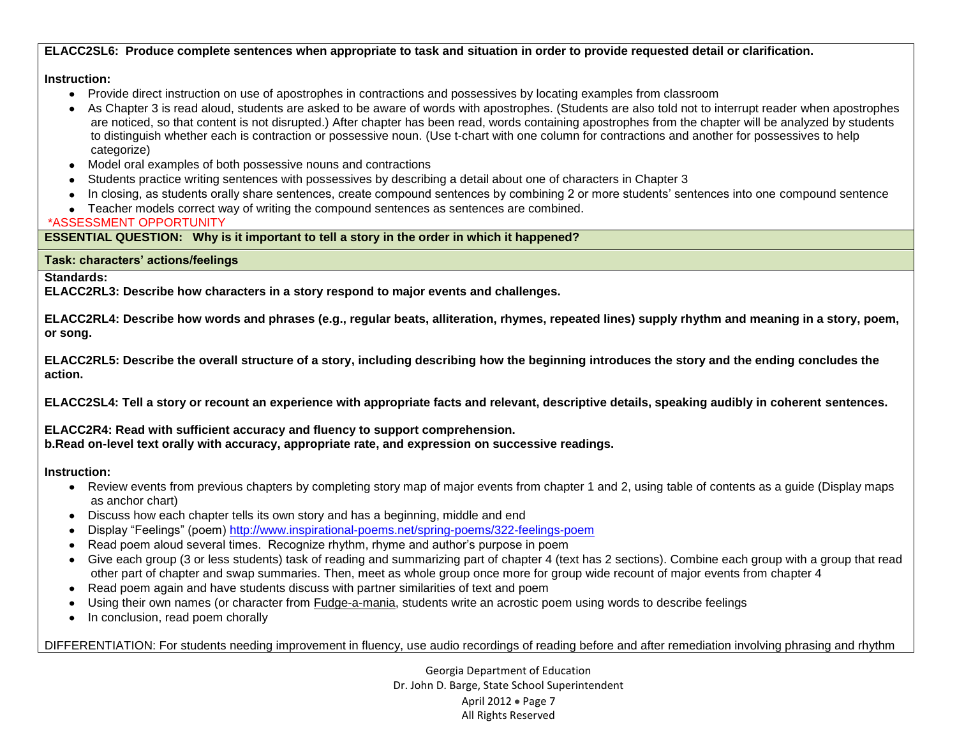### **ELACC2SL6: Produce complete sentences when appropriate to task and situation in order to provide requested detail or clarification.**

# **Instruction:**

- Provide direct instruction on use of apostrophes in contractions and possessives by locating examples from classroom
- As Chapter 3 is read aloud, students are asked to be aware of words with apostrophes. (Students are also told not to interrupt reader when apostrophes are noticed, so that content is not disrupted.) After chapter has been read, words containing apostrophes from the chapter will be analyzed by students to distinguish whether each is contraction or possessive noun. (Use t-chart with one column for contractions and another for possessives to help categorize)
- Model oral examples of both possessive nouns and contractions
- Students practice writing sentences with possessives by describing a detail about one of characters in Chapter 3
- In closing, as students orally share sentences, create compound sentences by combining 2 or more students' sentences into one compound sentence
- Teacher models correct way of writing the compound sentences as sentences are combined.

# \*ASSESSMENT OPPORTUNITY

# **ESSENTIAL QUESTION: Why is it important to tell a story in the order in which it happened?**

### **Task: characters' actions/feelings**

### **Standards:**

**ELACC2RL3: Describe how characters in a story respond to major events and challenges.**

**ELACC2RL4: Describe how words and phrases (e.g., regular beats, alliteration, rhymes, repeated lines) supply rhythm and meaning in a story, poem, or song.** 

**ELACC2RL5: Describe the overall structure of a story, including describing how the beginning introduces the story and the ending concludes the action.**

**ELACC2SL4: Tell a story or recount an experience with appropriate facts and relevant, descriptive details, speaking audibly in coherent sentences.**

**ELACC2R4: Read with sufficient accuracy and fluency to support comprehension. b.Read on-level text orally with accuracy, appropriate rate, and expression on successive readings.**

### **Instruction:**

- Review events from previous chapters by completing story map of major events from chapter 1 and 2, using table of contents as a guide (Display maps as anchor chart)
- Discuss how each chapter tells its own story and has a beginning, middle and end
- Display "Feelings" (poem)<http://www.inspirational-poems.net/spring-poems/322-feelings-poem>  $\bullet$
- Read poem aloud several times. Recognize rhythm, rhyme and author's purpose in poem
- Give each group (3 or less students) task of reading and summarizing part of chapter 4 (text has 2 sections). Combine each group with a group that read other part of chapter and swap summaries. Then, meet as whole group once more for group wide recount of major events from chapter 4
- Read poem again and have students discuss with partner similarities of text and poem
- Using their own names (or character from Fudge-a-mania, students write an acrostic poem using words to describe feelings  $\bullet$
- In conclusion, read poem chorally

DIFFERENTIATION: For students needing improvement in fluency, use audio recordings of reading before and after remediation involving phrasing and rhythm

Georgia Department of Education Dr. John D. Barge, State School Superintendent April 2012  $\bullet$  Page 7 All Rights Reserved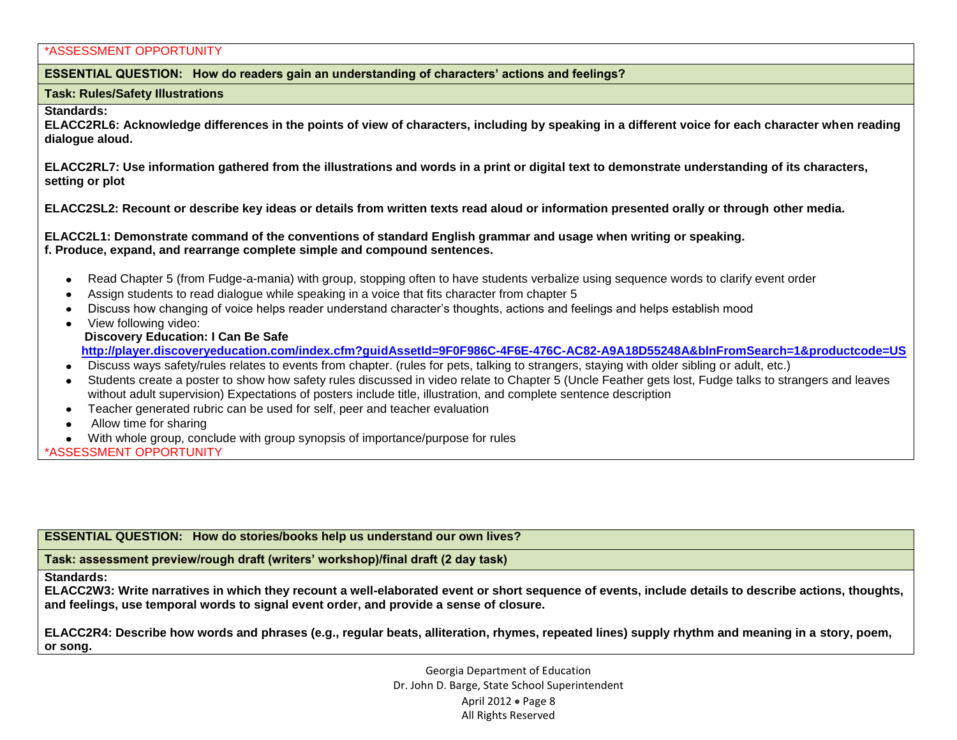\*ASSESSMENT OPPORTUNITY

**ESSENTIAL QUESTION: How do readers gain an understanding of characters' actions and feelings?**

### **Task: Rules/Safety Illustrations**

# **Standards:**

**ELACC2RL6: Acknowledge differences in the points of view of characters, including by speaking in a different voice for each character when reading dialogue aloud.**

**ELACC2RL7: Use information gathered from the illustrations and words in a print or digital text to demonstrate understanding of its characters, setting or plot**

**ELACC2SL2: Recount or describe key ideas or details from written texts read aloud or information presented orally or through other media.**

**ELACC2L1: Demonstrate command of the conventions of standard English grammar and usage when writing or speaking. f. Produce, expand, and rearrange complete simple and compound sentences.**

- Read Chapter 5 (from Fudge-a-mania) with group, stopping often to have students verbalize using sequence words to clarify event order
- Assign students to read dialogue while speaking in a voice that fits character from chapter 5
- Discuss how changing of voice helps reader understand character's thoughts, actions and feelings and helps establish mood
- View following video:  **Discovery Education: I Can Be Safe <http://player.discoveryeducation.com/index.cfm?guidAssetId=9F0F986C-4F6E-476C-AC82-A9A18D55248A&blnFromSearch=1&productcode=US>**
- Discuss ways safety/rules relates to events from chapter. (rules for pets, talking to strangers, staying with older sibling or adult, etc.)
- Students create a poster to show how safety rules discussed in video relate to Chapter 5 (Uncle Feather gets lost, Fudge talks to strangers and leaves without adult supervision) Expectations of posters include title, illustration, and complete sentence description
- Teacher generated rubric can be used for self, peer and teacher evaluation
- Allow time for sharing  $\bullet$
- With whole group, conclude with group synopsis of importance/purpose for rules

\*ASSESSMENT OPPORTUNITY

**ESSENTIAL QUESTION: How do stories/books help us understand our own lives?**

**Task: assessment preview/rough draft (writers' workshop)/final draft (2 day task)**

# **Standards:**

**ELACC2W3: Write narratives in which they recount a well-elaborated event or short sequence of events, include details to describe actions, thoughts, and feelings, use temporal words to signal event order, and provide a sense of closure.** 

**ELACC2R4: Describe how words and phrases (e.g., regular beats, alliteration, rhymes, repeated lines) supply rhythm and meaning in a story, poem, or song.**

> Georgia Department of Education Dr. John D. Barge, State School Superintendent April 2012  $\bullet$  Page 8 All Rights Reserved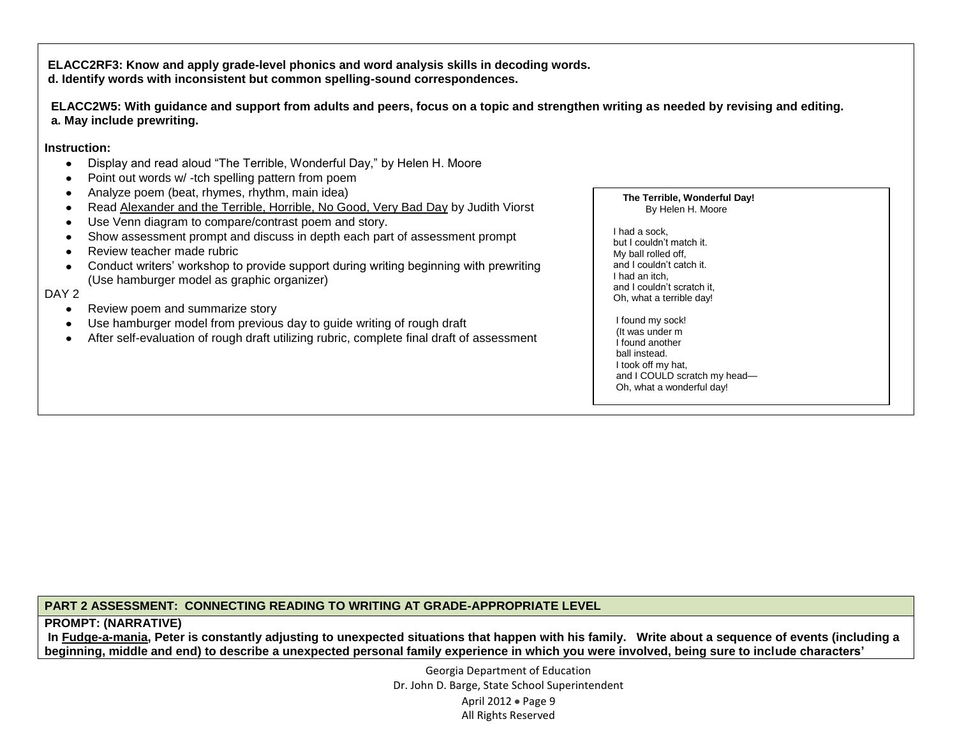**ELACC2RF3: Know and apply grade-level phonics and word analysis skills in decoding words. d. Identify words with inconsistent but common spelling-sound correspondences.**

**ELACC2W5: With guidance and support from adults and peers, focus on a topic and strengthen writing as needed by revising and editing. a. May include prewriting.** 

### **Instruction:**

- $\bullet$ Display and read aloud "The Terrible, Wonderful Day," by Helen H. Moore
- Point out words w/ -tch spelling pattern from poem
- Analyze poem (beat, rhymes, rhythm, main idea)  $\bullet$
- Read Alexander and the Terrible, Horrible, No Good, Very Bad Day by Judith Viorst  $\bullet$
- Use Venn diagram to compare/contrast poem and story.  $\bullet$
- Show assessment prompt and discuss in depth each part of assessment prompt  $\bullet$
- Review teacher made rubric  $\bullet$
- Conduct writers' workshop to provide support during writing beginning with prewriting (Use hamburger model as graphic organizer)

### DAY<sub>2</sub>

- Review poem and summarize story  $\bullet$
- Use hamburger model from previous day to guide writing of rough draft
- After self-evaluation of rough draft utilizing rubric, complete final draft of assessment  $\bullet$

#### **The Terrible, Wonderful Day!** By Helen H. Moore

- I had a sock, but I couldn't match it. My ball rolled off, and I couldn't catch it. I had an itch, and I couldn't scratch it, Oh, what a terrible day!
- I found my sock! (It was under m I found another ball instead. I took off my hat, and I COULD scratch my head— Oh, what a wonderful day!

### **PART 2 ASSESSMENT: CONNECTING READING TO WRITING AT GRADE-APPROPRIATE LEVEL**

### **PROMPT: (NARRATIVE)**

**In Fudge-a-mania, Peter is constantly adjusting to unexpected situations that happen with his family. Write about a sequence of events (including a beginning, middle and end) to describe a unexpected personal family experience in which you were involved, being sure to include characters'** 

> Georgia Department of Education Dr. John D. Barge, State School Superintendent April 2012 . Page 9 All Rights Reserved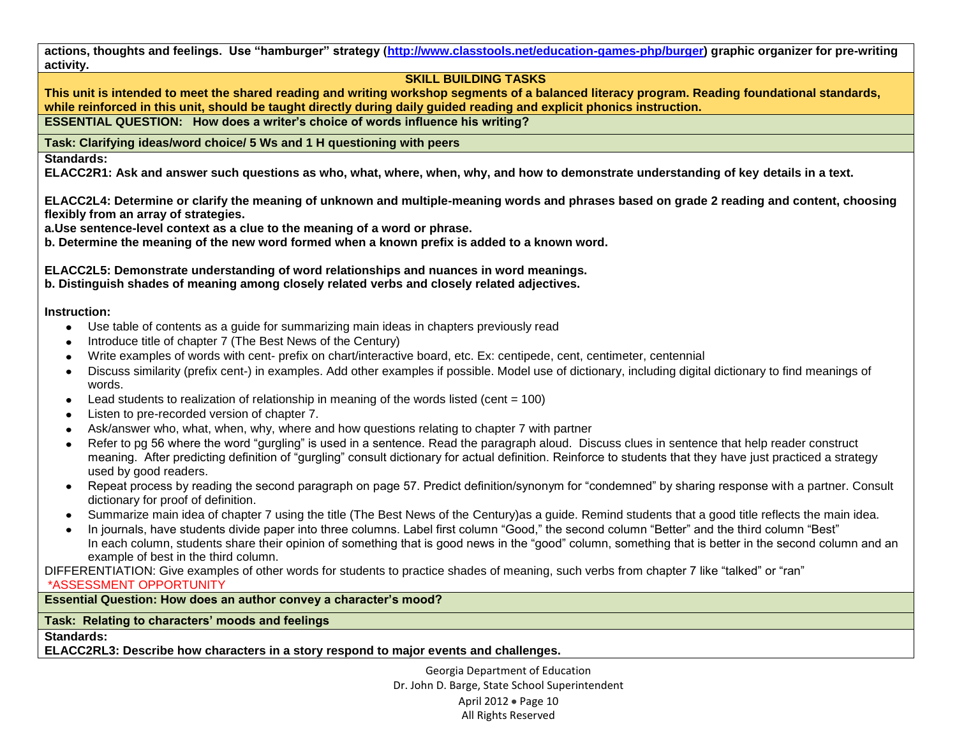**actions, thoughts and feelings. Use "hamburger" strategy [\(http://www.classtools.net/education-games-php/burger\)](http://www.classtools.net/education-games-php/burger) graphic organizer for pre-writing activity.**

# **SKILL BUILDING TASKS**

**This unit is intended to meet the shared reading and writing workshop segments of a balanced literacy program. Reading foundational standards, while reinforced in this unit, should be taught directly during daily guided reading and explicit phonics instruction.**

**ESSENTIAL QUESTION: How does a writer's choice of words influence his writing?**

**Task: Clarifying ideas/word choice/ 5 Ws and 1 H questioning with peers**

**Standards:**

**ELACC2R1: Ask and answer such questions as who, what, where, when, why, and how to demonstrate understanding of key details in a text.**

**ELACC2L4: Determine or clarify the meaning of unknown and multiple-meaning words and phrases based on grade 2 reading and content, choosing flexibly from an array of strategies.**

**a.Use sentence-level context as a clue to the meaning of a word or phrase.**

**b. Determine the meaning of the new word formed when a known prefix is added to a known word.**

**ELACC2L5: Demonstrate understanding of word relationships and nuances in word meanings. b. Distinguish shades of meaning among closely related verbs and closely related adjectives.**

**Instruction:**

- Use table of contents as a guide for summarizing main ideas in chapters previously read
- Introduce title of chapter 7 (The Best News of the Century)
- Write examples of words with cent- prefix on chart/interactive board, etc. Ex: centipede, cent, centimeter, centennial
- Discuss similarity (prefix cent-) in examples. Add other examples if possible. Model use of dictionary, including digital dictionary to find meanings of  $\bullet$ words.
- $\bullet$  Lead students to realization of relationship in meaning of the words listed (cent = 100)
- Listen to pre-recorded version of chapter 7.
- Ask/answer who, what, when, why, where and how questions relating to chapter 7 with partner
- Refer to pg 56 where the word "gurgling" is used in a sentence. Read the paragraph aloud. Discuss clues in sentence that help reader construct meaning. After predicting definition of "gurgling" consult dictionary for actual definition. Reinforce to students that they have just practiced a strategy used by good readers.
- Repeat process by reading the second paragraph on page 57. Predict definition/synonym for "condemned" by sharing response with a partner. Consult dictionary for proof of definition.
- Summarize main idea of chapter 7 using the title (The Best News of the Century)as a guide. Remind students that a good title reflects the main idea.
- In journals, have students divide paper into three columns. Label first column "Good," the second column "Better" and the third column "Best" In each column, students share their opinion of something that is good news in the "good" column, something that is better in the second column and an example of best in the third column.

DIFFERENTIATION: Give examples of other words for students to practice shades of meaning, such verbs from chapter 7 like "talked" or "ran" \*ASSESSMENT OPPORTUNITY

**Essential Question: How does an author convey a character's mood?**

**Task: Relating to characters' moods and feelings**

**Standards:**

**ELACC2RL3: Describe how characters in a story respond to major events and challenges.**

Georgia Department of Education Dr. John D. Barge, State School Superintendent April 2012 • Page 10 All Rights Reserved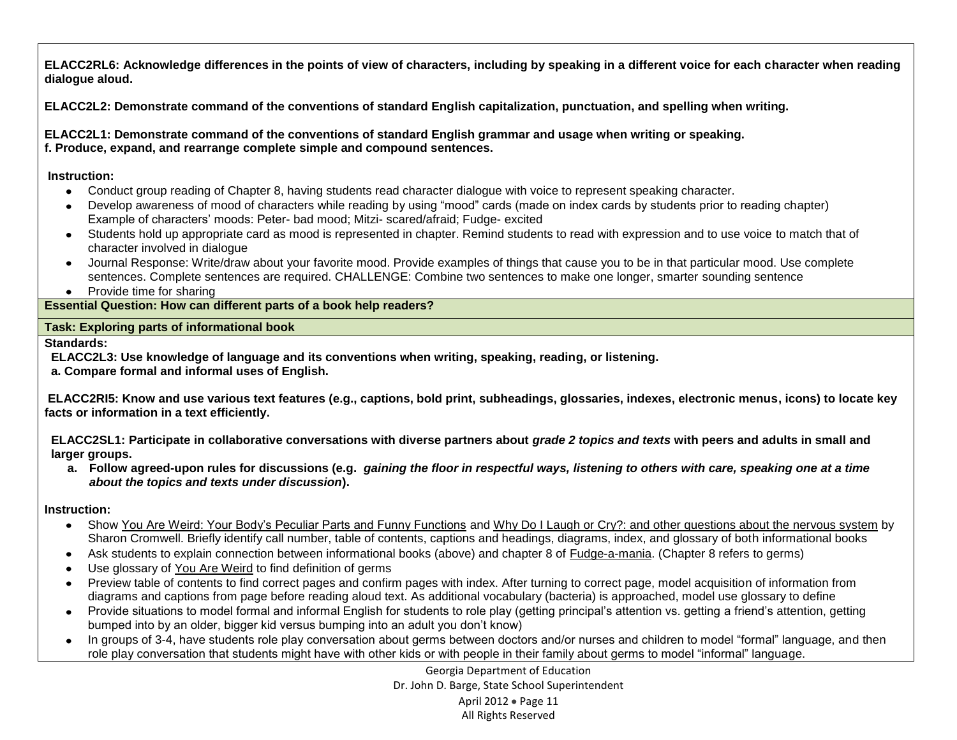**ELACC2RL6: Acknowledge differences in the points of view of characters, including by speaking in a different voice for each character when reading dialogue aloud.**

**ELACC2L2: Demonstrate command of the conventions of standard English capitalization, punctuation, and spelling when writing.**

**ELACC2L1: Demonstrate command of the conventions of standard English grammar and usage when writing or speaking. f. Produce, expand, and rearrange complete simple and compound sentences.**

### **Instruction:**

- Conduct group reading of Chapter 8, having students read character dialogue with voice to represent speaking character.
- Develop awareness of mood of characters while reading by using "mood" cards (made on index cards by students prior to reading chapter) Example of characters' moods: Peter- bad mood; Mitzi- scared/afraid; Fudge- excited
- Students hold up appropriate card as mood is represented in chapter. Remind students to read with expression and to use voice to match that of character involved in dialogue
- Journal Response: Write/draw about your favorite mood. Provide examples of things that cause you to be in that particular mood. Use complete sentences. Complete sentences are required. CHALLENGE: Combine two sentences to make one longer, smarter sounding sentence
- Provide time for sharing

**Essential Question: How can different parts of a book help readers?**

**Task: Exploring parts of informational book**

**Standards:** 

**ELACC2L3: Use knowledge of language and its conventions when writing, speaking, reading, or listening.** 

**a. Compare formal and informal uses of English.** 

**ELACC2RI5: Know and use various text features (e.g., captions, bold print, subheadings, glossaries, indexes, electronic menus, icons) to locate key facts or information in a text efficiently.**

**ELACC2SL1: Participate in collaborative conversations with diverse partners about** *grade 2 topics and texts* **with peers and adults in small and larger groups.** 

**a. Follow agreed-upon rules for discussions (e.g.** *gaining the floor in respectful ways, listening to others with care, speaking one at a time about the topics and texts under discussion***).** 

**Instruction:** 

- Show You Are Weird: Your Body's Peculiar Parts and Funny Functions and Why Do I Laugh or Cry?: and other questions about the nervous system by Sharon Cromwell. Briefly identify call number, table of contents, captions and headings, diagrams, index, and glossary of both informational books
- Ask students to explain connection between informational books (above) and chapter 8 of Fudge-a-mania. (Chapter 8 refers to germs)
- Use glossary of You Are Weird to find definition of germs  $\bullet$
- Preview table of contents to find correct pages and confirm pages with index. After turning to correct page, model acquisition of information from diagrams and captions from page before reading aloud text. As additional vocabulary (bacteria) is approached, model use glossary to define
- Provide situations to model formal and informal English for students to role play (getting principal's attention vs. getting a friend's attention, getting  $\bullet$ bumped into by an older, bigger kid versus bumping into an adult you don't know)
- In groups of 3-4, have students role play conversation about germs between doctors and/or nurses and children to model "formal" language, and then  $\bullet$ role play conversation that students might have with other kids or with people in their family about germs to model "informal" language.

Georgia Department of Education Dr. John D. Barge, State School Superintendent April 2012 • Page 11 All Rights Reserved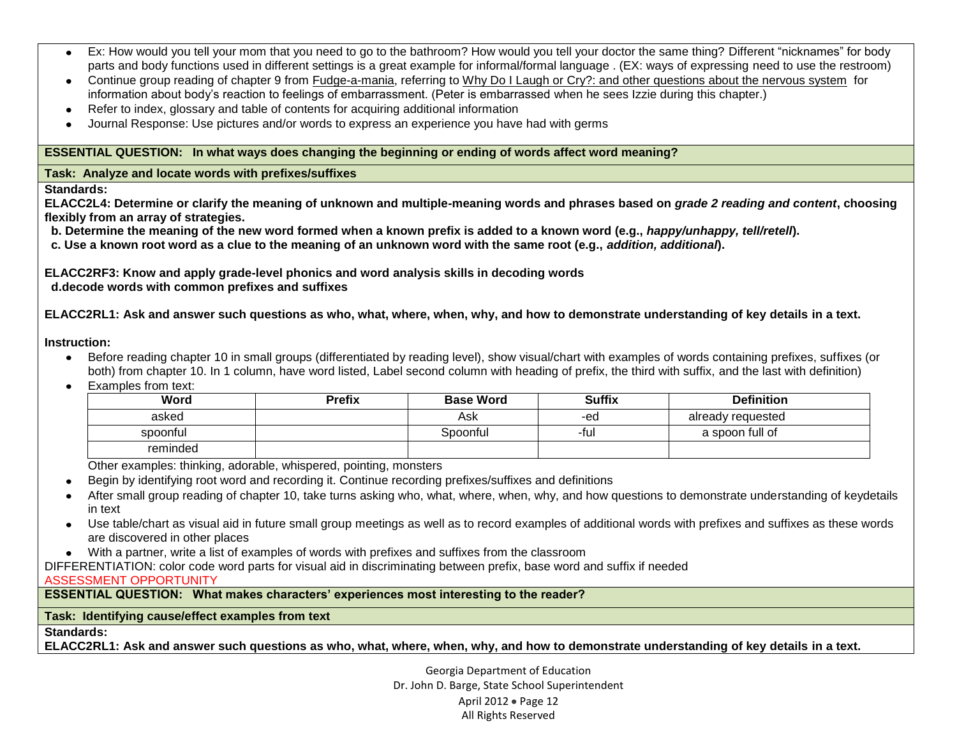- Ex: How would you tell your mom that you need to go to the bathroom? How would you tell your doctor the same thing? Different "nicknames" for body  $\bullet$ parts and body functions used in different settings is a great example for informal/formal language . (EX: ways of expressing need to use the restroom)
- Continue group reading of chapter 9 from Fudge-a-mania, referring to Why Do I Laugh or Cry?: and other questions about the nervous system for information about body's reaction to feelings of embarrassment. (Peter is embarrassed when he sees Izzie during this chapter.)
- Refer to index, glossary and table of contents for acquiring additional information
- Journal Response: Use pictures and/or words to express an experience you have had with germs  $\bullet$

**ESSENTIAL QUESTION: In what ways does changing the beginning or ending of words affect word meaning?**

**Task: Analyze and locate words with prefixes/suffixes**

**Standards:** 

**ELACC2L4: Determine or clarify the meaning of unknown and multiple-meaning words and phrases based on** *grade 2 reading and content***, choosing flexibly from an array of strategies.**

- **b. Determine the meaning of the new word formed when a known prefix is added to a known word (e.g.,** *happy/unhappy, tell/retell***).**
- **c. Use a known root word as a clue to the meaning of an unknown word with the same root (e.g.,** *addition, additional***).**

**ELACC2RF3: Know and apply grade-level phonics and word analysis skills in decoding words d.decode words with common prefixes and suffixes**

**ELACC2RL1: Ask and answer such questions as who, what, where, when, why, and how to demonstrate understanding of key details in a text.**

### **Instruction:**

- Before reading chapter 10 in small groups (differentiated by reading level), show visual/chart with examples of words containing prefixes, suffixes (or  $\bullet$ both) from chapter 10. In 1 column, have word listed, Label second column with heading of prefix, the third with suffix, and the last with definition)
- **Examples from text:**

| Word     | Prefix | <b>Base Word</b> | <b>Suffix</b> | <b>Definition</b> |
|----------|--------|------------------|---------------|-------------------|
| asked    |        | Ask              | -ed           | already requested |
| spoonful |        | Spoonful         | -tul          | a spoon full of   |
| reminded |        |                  |               |                   |

Other examples: thinking, adorable, whispered, pointing, monsters

- Begin by identifying root word and recording it. Continue recording prefixes/suffixes and definitions  $\bullet$
- After small group reading of chapter 10, take turns asking who, what, where, when, why, and how questions to demonstrate understanding of keydetails in text
- Use table/chart as visual aid in future small group meetings as well as to record examples of additional words with prefixes and suffixes as these words are discovered in other places
- With a partner, write a list of examples of words with prefixes and suffixes from the classroom
- DIFFERENTIATION: color code word parts for visual aid in discriminating between prefix, base word and suffix if needed

ASSESSMENT OPPORTUNITY

**ESSENTIAL QUESTION: What makes characters' experiences most interesting to the reader?**

# **Task: Identifying cause/effect examples from text**

**Standards:**

**ELACC2RL1: Ask and answer such questions as who, what, where, when, why, and how to demonstrate understanding of key details in a text.**

Georgia Department of Education Dr. John D. Barge, State School Superintendent April 2012 • Page 12 All Rights Reserved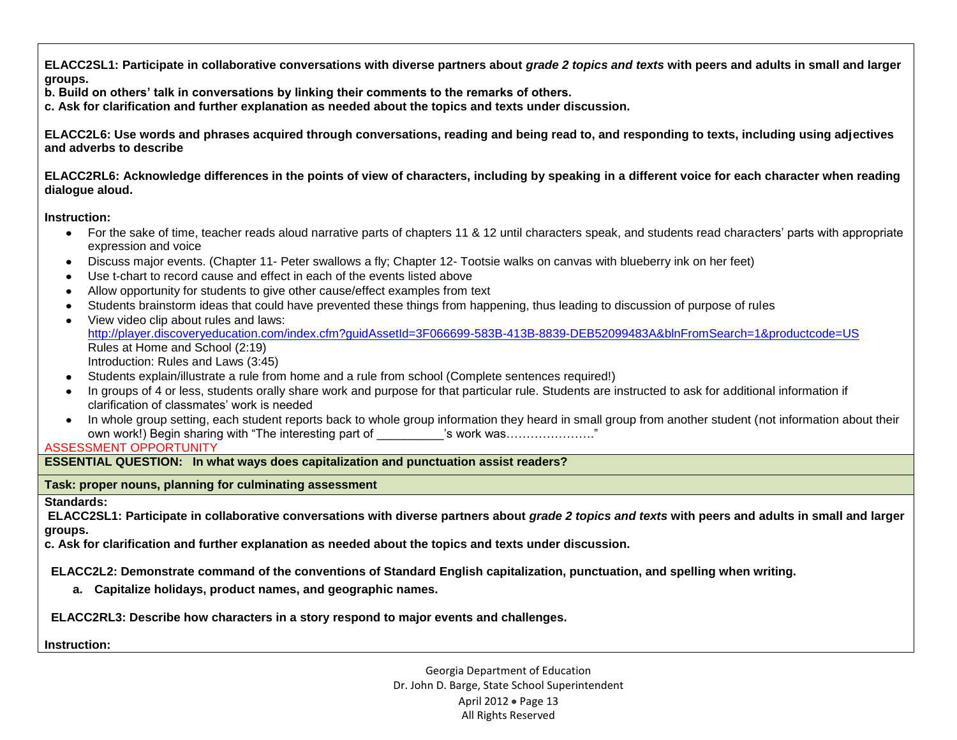**ELACC2SL1: Participate in collaborative conversations with diverse partners about** *grade 2 topics and texts* **with peers and adults in small and larger groups.**

**b. Build on others' talk in conversations by linking their comments to the remarks of others.**

**c. Ask for clarification and further explanation as needed about the topics and texts under discussion.**

**ELACC2L6: Use words and phrases acquired through conversations, reading and being read to, and responding to texts, including using adjectives and adverbs to describe**

**ELACC2RL6: Acknowledge differences in the points of view of characters, including by speaking in a different voice for each character when reading dialogue aloud.**

### **Instruction:**

- For the sake of time, teacher reads aloud narrative parts of chapters 11 & 12 until characters speak, and students read characters' parts with appropriate expression and voice
- Discuss major events. (Chapter 11- Peter swallows a fly; Chapter 12- Tootsie walks on canvas with blueberry ink on her feet)
- Use t-chart to record cause and effect in each of the events listed above
- Allow opportunity for students to give other cause/effect examples from text
- Students brainstorm ideas that could have prevented these things from happening, thus leading to discussion of purpose of rules
- View video clip about rules and laws: <http://player.discoveryeducation.com/index.cfm?guidAssetId=3F066699-583B-413B-8839-DEB52099483A&blnFromSearch=1&productcode=US> Rules at Home and School (2:19) Introduction: Rules and Laws (3:45)
- Students explain/illustrate a rule from home and a rule from school (Complete sentences required!)
- In groups of 4 or less, students orally share work and purpose for that particular rule. Students are instructed to ask for additional information if clarification of classmates' work is needed
- In whole group setting, each student reports back to whole group information they heard in small group from another student (not information about their own work!) Begin sharing with "The interesting part of \_\_\_\_\_\_\_\_\_\_'s work was…………………."

### ASSESSMENT OPPORTUNITY

**ESSENTIAL QUESTION: In what ways does capitalization and punctuation assist readers?** 

**Task: proper nouns, planning for culminating assessment**

### **Standards:**

**ELACC2SL1: Participate in collaborative conversations with diverse partners about** *grade 2 topics and texts* **with peers and adults in small and larger groups.**

**c. Ask for clarification and further explanation as needed about the topics and texts under discussion.**

**ELACC2L2: Demonstrate command of the conventions of Standard English capitalization, punctuation, and spelling when writing.** 

**a. Capitalize holidays, product names, and geographic names.** 

**ELACC2RL3: Describe how characters in a story respond to major events and challenges.**

**Instruction:** 

Georgia Department of Education Dr. John D. Barge, State School Superintendent April 2012 • Page 13 All Rights Reserved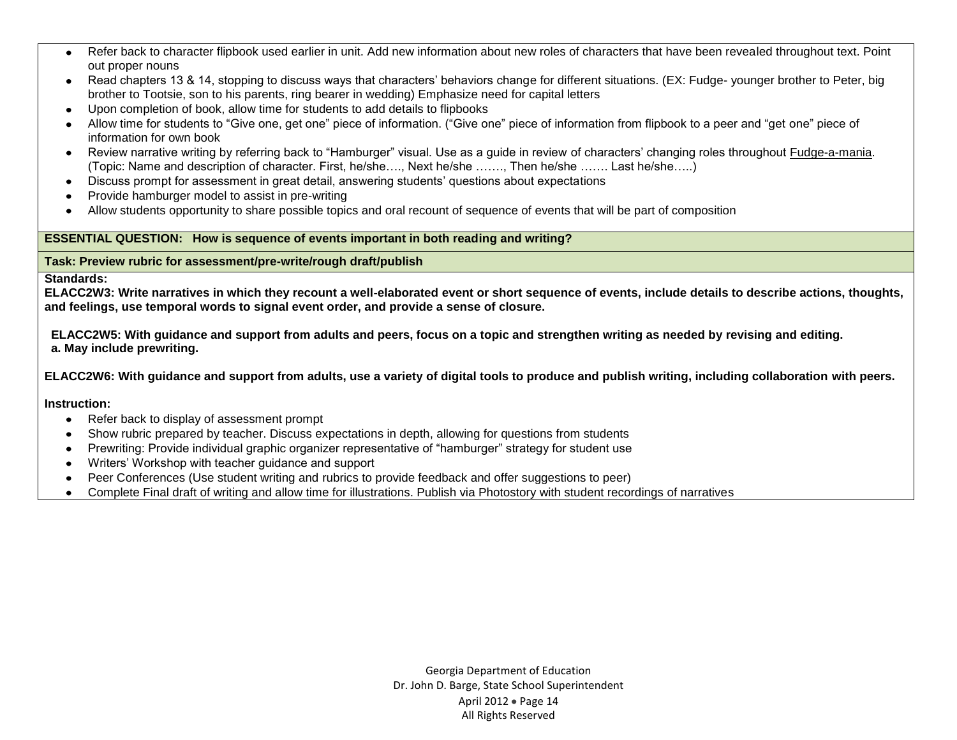- Refer back to character flipbook used earlier in unit. Add new information about new roles of characters that have been revealed throughout text. Point  $\bullet$ out proper nouns
- Read chapters 13 & 14, stopping to discuss ways that characters' behaviors change for different situations. (EX: Fudge- younger brother to Peter, big brother to Tootsie, son to his parents, ring bearer in wedding) Emphasize need for capital letters
- Upon completion of book, allow time for students to add details to flipbooks  $\bullet$
- Allow time for students to "Give one, get one" piece of information. ("Give one" piece of information from flipbook to a peer and "get one" piece of  $\bullet$ information for own book
- Review narrative writing by referring back to "Hamburger" visual. Use as a guide in review of characters' changing roles throughout Fudge-a-mania. (Topic: Name and description of character. First, he/she…., Next he/she ……., Then he/she ……. Last he/she…..)
- Discuss prompt for assessment in great detail, answering students' questions about expectations  $\bullet$
- Provide hamburger model to assist in pre-writing  $\bullet$
- Allow students opportunity to share possible topics and oral recount of sequence of events that will be part of composition

### **ESSENTIAL QUESTION: How is sequence of events important in both reading and writing?**

**Task: Preview rubric for assessment/pre-write/rough draft/publish**

**Standards:**

**ELACC2W3: Write narratives in which they recount a well-elaborated event or short sequence of events, include details to describe actions, thoughts, and feelings, use temporal words to signal event order, and provide a sense of closure.** 

**ELACC2W5: With guidance and support from adults and peers, focus on a topic and strengthen writing as needed by revising and editing. a. May include prewriting.** 

**ELACC2W6: With guidance and support from adults, use a variety of digital tools to produce and publish writing, including collaboration with peers.**

**Instruction:**

- Refer back to display of assessment prompt  $\bullet$
- Show rubric prepared by teacher. Discuss expectations in depth, allowing for questions from students
- Prewriting: Provide individual graphic organizer representative of "hamburger" strategy for student use  $\bullet$
- Writers' Workshop with teacher guidance and support  $\bullet$
- Peer Conferences (Use student writing and rubrics to provide feedback and offer suggestions to peer)
- Complete Final draft of writing and allow time for illustrations. Publish via Photostory with student recordings of narratives  $\bullet$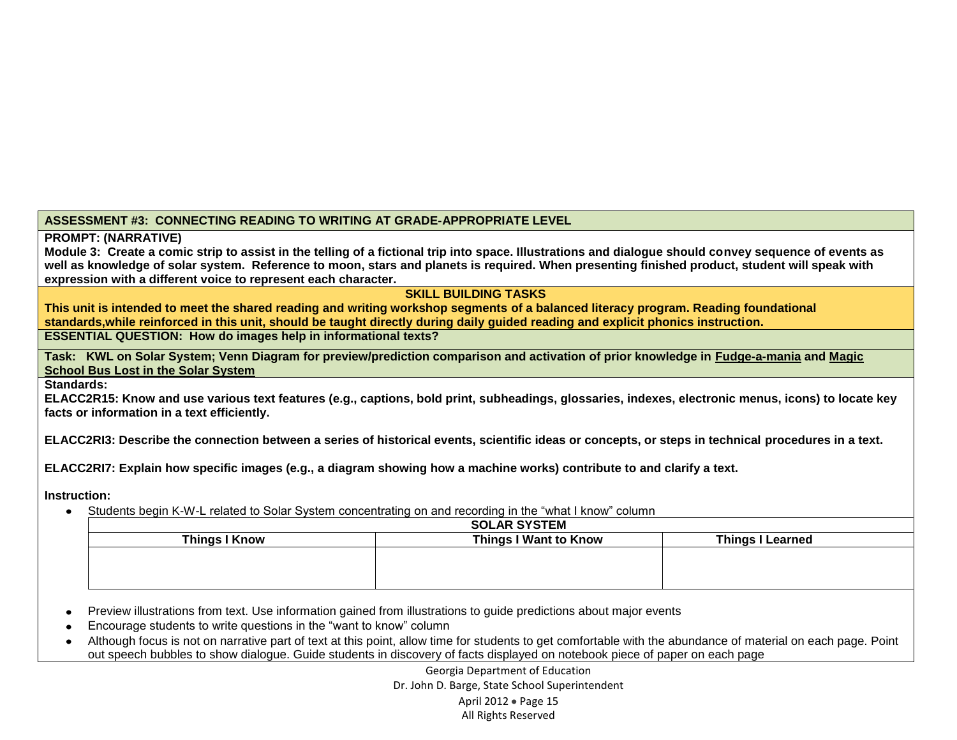# **ASSESSMENT #3: CONNECTING READING TO WRITING AT GRADE-APPROPRIATE LEVEL**

### **PROMPT: (NARRATIVE)**

**Module 3: Create a comic strip to assist in the telling of a fictional trip into space. Illustrations and dialogue should convey sequence of events as well as knowledge of solar system. Reference to moon, stars and planets is required. When presenting finished product, student will speak with expression with a different voice to represent each character.** 

### **SKILL BUILDING TASKS**

**This unit is intended to meet the shared reading and writing workshop segments of a balanced literacy program. Reading foundational standards,while reinforced in this unit, should be taught directly during daily guided reading and explicit phonics instruction.**

**ESSENTIAL QUESTION: How do images help in informational texts?**

**Task: KWL on Solar System; Venn Diagram for preview/prediction comparison and activation of prior knowledge in Fudge-a-mania and Magic School Bus Lost in the Solar System** 

**Standards:** 

**ELACC2R15: Know and use various text features (e.g., captions, bold print, subheadings, glossaries, indexes, electronic menus, icons) to locate key facts or information in a text efficiently.**

**ELACC2RI3: Describe the connection between a series of historical events, scientific ideas or concepts, or steps in technical procedures in a text.**

**ELACC2RI7: Explain how specific images (e.g., a diagram showing how a machine works) contribute to and clarify a text.** 

**Instruction:** 

Students begin K-W-L related to Solar System concentrating on and recording in the "what I know" column  $\bullet$ 

| <b>SOLAR SYSTEM</b>  |                              |                         |  |  |
|----------------------|------------------------------|-------------------------|--|--|
| <b>Things I Know</b> | <b>Things I Want to Know</b> | <b>Things I Learned</b> |  |  |
|                      |                              |                         |  |  |
|                      |                              |                         |  |  |
|                      |                              |                         |  |  |
|                      |                              |                         |  |  |

- Preview illustrations from text. Use information gained from illustrations to guide predictions about major events
- Encourage students to write questions in the "want to know" column
- Although focus is not on narrative part of text at this point, allow time for students to get comfortable with the abundance of material on each page. Point out speech bubbles to show dialogue. Guide students in discovery of facts displayed on notebook piece of paper on each page

Georgia Department of Education Dr. John D. Barge, State School Superintendent April 2012 • Page 15 All Rights Reserved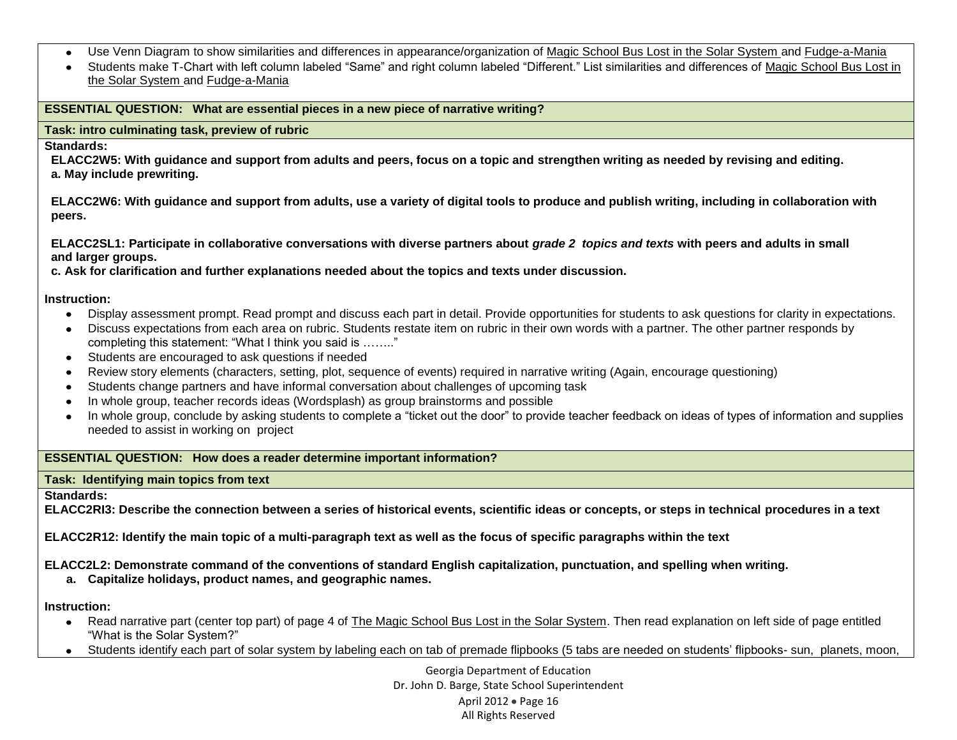- Use Venn Diagram to show similarities and differences in appearance/organization of Magic School Bus Lost in the Solar System and Fudge-a-Mania
- Students make T-Chart with left column labeled "Same" and right column labeled "Different." List similarities and differences of Magic School Bus Lost in  $\bullet$ the Solar System and Fudge-a-Mania

#### **ESSENTIAL QUESTION: What are essential pieces in a new piece of narrative writing?**

### **Task: intro culminating task, preview of rubric**

**Standards:** 

**ELACC2W5: With guidance and support from adults and peers, focus on a topic and strengthen writing as needed by revising and editing. a. May include prewriting.** 

**ELACC2W6: With guidance and support from adults, use a variety of digital tools to produce and publish writing, including in collaboration with peers.** 

**ELACC2SL1: Participate in collaborative conversations with diverse partners about** *grade 2 topics and texts* **with peers and adults in small and larger groups.** 

**c. Ask for clarification and further explanations needed about the topics and texts under discussion.**

#### **Instruction:**

- Display assessment prompt. Read prompt and discuss each part in detail. Provide opportunities for students to ask questions for clarity in expectations.  $\bullet$
- Discuss expectations from each area on rubric. Students restate item on rubric in their own words with a partner. The other partner responds by completing this statement: "What I think you said is …….."
- Students are encouraged to ask questions if needed
- Review story elements (characters, setting, plot, sequence of events) required in narrative writing (Again, encourage questioning)  $\bullet$
- Students change partners and have informal conversation about challenges of upcoming task
- In whole group, teacher records ideas (Wordsplash) as group brainstorms and possible  $\bullet$  .
- In whole group, conclude by asking students to complete a "ticket out the door" to provide teacher feedback on ideas of types of information and supplies  $\bullet$ needed to assist in working on project

#### **ESSENTIAL QUESTION: How does a reader determine important information?**

#### **Task: Identifying main topics from text**

**Standards:**

**ELACC2RI3: Describe the connection between a series of historical events, scientific ideas or concepts, or steps in technical procedures in a text**

**ELACC2R12: Identify the main topic of a multi-paragraph text as well as the focus of specific paragraphs within the text**

**ELACC2L2: Demonstrate command of the conventions of standard English capitalization, punctuation, and spelling when writing.**

**a. Capitalize holidays, product names, and geographic names.**

#### **Instruction:**

- Read narrative part (center top part) of page 4 of The Magic School Bus Lost in the Solar System. Then read explanation on left side of page entitled "What is the Solar System?"
- Students identify each part of solar system by labeling each on tab of premade flipbooks (5 tabs are needed on students' flipbooks- sun, planets, moon,

Georgia Department of Education Dr. John D. Barge, State School Superintendent April 2012 • Page 16 All Rights Reserved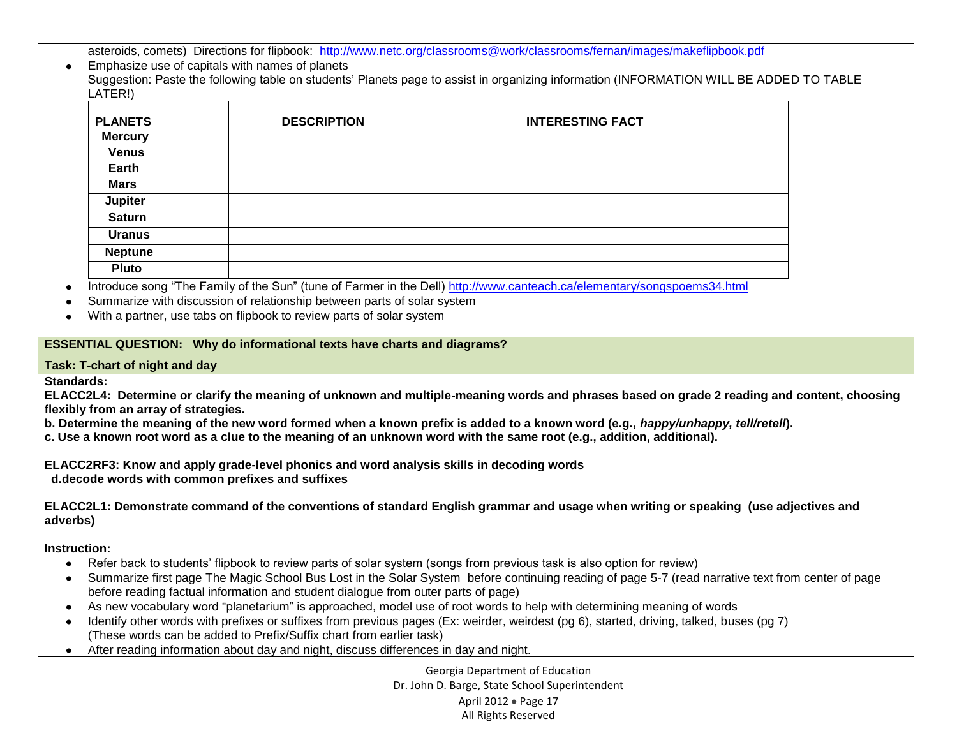asteroids, comets) Directions for flipbook: <http://www.netc.org/classrooms@work/classrooms/fernan/images/makeflipbook.pdf>

Emphasize use of capitals with names of planets  $\bullet$ 

Suggestion: Paste the following table on students' Planets page to assist in organizing information (INFORMATION WILL BE ADDED TO TABLE LATER!)

| <b>PLANETS</b> | <b>DESCRIPTION</b> | <b>INTERESTING FACT</b> |
|----------------|--------------------|-------------------------|
| <b>Mercury</b> |                    |                         |
| <b>Venus</b>   |                    |                         |
| Earth          |                    |                         |
| <b>Mars</b>    |                    |                         |
| Jupiter        |                    |                         |
| <b>Saturn</b>  |                    |                         |
| <b>Uranus</b>  |                    |                         |
| <b>Neptune</b> |                    |                         |
| Pluto          |                    |                         |

- Introduce song "The Family of the Sun" (tune of Farmer in the Dell)<http://www.canteach.ca/elementary/songspoems34.html>
- Summarize with discussion of relationship between parts of solar system
- With a partner, use tabs on flipbook to review parts of solar system

# **ESSENTIAL QUESTION: Why do informational texts have charts and diagrams?**

#### **Task: T-chart of night and day**

**Standards:** 

**ELACC2L4: Determine or clarify the meaning of unknown and multiple-meaning words and phrases based on grade 2 reading and content, choosing flexibly from an array of strategies.**

**b. Determine the meaning of the new word formed when a known prefix is added to a known word (e.g.,** *happy/unhappy, tell/retell***).**

**c. Use a known root word as a clue to the meaning of an unknown word with the same root (e.g., addition, additional).**

**ELACC2RF3: Know and apply grade-level phonics and word analysis skills in decoding words d.decode words with common prefixes and suffixes**

**ELACC2L1: Demonstrate command of the conventions of standard English grammar and usage when writing or speaking (use adjectives and adverbs)**

**Instruction:** 

- Refer back to students' flipbook to review parts of solar system (songs from previous task is also option for review)
- Summarize first page The Magic School Bus Lost in the Solar System before continuing reading of page 5-7 (read narrative text from center of page before reading factual information and student dialogue from outer parts of page)
- As new vocabulary word "planetarium" is approached, model use of root words to help with determining meaning of words
- Identify other words with prefixes or suffixes from previous pages (Ex: weirder, weirdest (pg 6), started, driving, talked, buses (pg 7)  $\bullet$ (These words can be added to Prefix/Suffix chart from earlier task)
- After reading information about day and night, discuss differences in day and night.

Georgia Department of Education Dr. John D. Barge, State School Superintendent April 2012 · Page 17 All Rights Reserved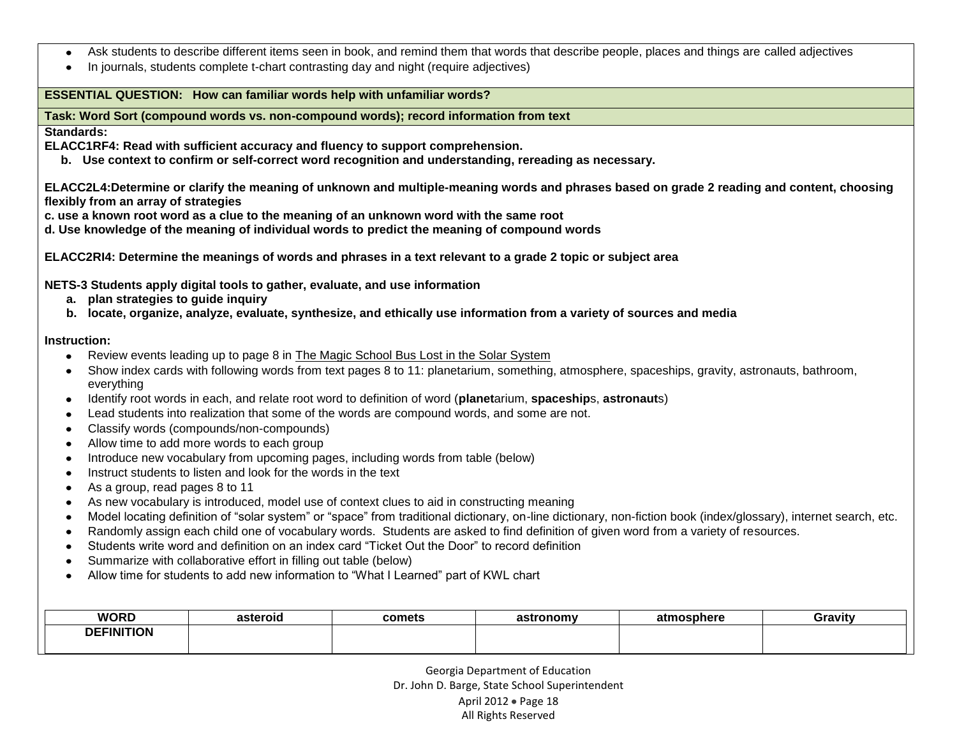- Ask students to describe different items seen in book, and remind them that words that describe people, places and things are called adjectives  $\bullet$
- In journals, students complete t-chart contrasting day and night (require adjectives)  $\bullet$

### **ESSENTIAL QUESTION: How can familiar words help with unfamiliar words?**

### **Task: Word Sort (compound words vs. non-compound words); record information from text**

#### **Standards:**

**ELACC1RF4: Read with sufficient accuracy and fluency to support comprehension.**

**b. Use context to confirm or self-correct word recognition and understanding, rereading as necessary.**

**ELACC2L4:Determine or clarify the meaning of unknown and multiple-meaning words and phrases based on grade 2 reading and content, choosing flexibly from an array of strategies** 

**c. use a known root word as a clue to the meaning of an unknown word with the same root**

**d. Use knowledge of the meaning of individual words to predict the meaning of compound words**

**ELACC2RI4: Determine the meanings of words and phrases in a text relevant to a grade 2 topic or subject area**

**NETS-3 Students apply digital tools to gather, evaluate, and use information**

- **a. plan strategies to guide inquiry**
- **b. locate, organize, analyze, evaluate, synthesize, and ethically use information from a variety of sources and media**

#### **Instruction:**

- Review events leading up to page 8 in The Magic School Bus Lost in the Solar System  $\bullet$
- Show index cards with following words from text pages 8 to 11: planetarium, something, atmosphere, spaceships, gravity, astronauts, bathroom,  $\bullet$ everything
- Identify root words in each, and relate root word to definition of word (**planet**arium, **spaceship**s, **astronaut**s)
- Lead students into realization that some of the words are compound words, and some are not.  $\bullet$
- Classify words (compounds/non-compounds)  $\bullet$
- Allow time to add more words to each group
- Introduce new vocabulary from upcoming pages, including words from table (below)  $\bullet$
- Instruct students to listen and look for the words in the text  $\bullet$
- As a group, read pages 8 to 11  $\bullet$
- As new vocabulary is introduced, model use of context clues to aid in constructing meaning
- Model locating definition of "solar system" or "space" from traditional dictionary, on-line dictionary, non-fiction book (index/glossary), internet search, etc.  $\bullet$
- Randomly assign each child one of vocabulary words. Students are asked to find definition of given word from a variety of resources.  $\bullet$
- Students write word and definition on an index card "Ticket Out the Door" to record definition  $\bullet$  .
- Summarize with collaborative effort in filling out table (below)
- Allow time for students to add new information to "What I Learned" part of KWL chart

| <b>WORD</b>       | asteroid | comets | :ronomv<br>ast | atmosphere | Gravitv |
|-------------------|----------|--------|----------------|------------|---------|
| <b>DEFINITION</b> |          |        |                |            |         |
|                   |          |        |                |            |         |

Georgia Department of Education Dr. John D. Barge, State School Superintendent April 2012 • Page 18 All Rights Reserved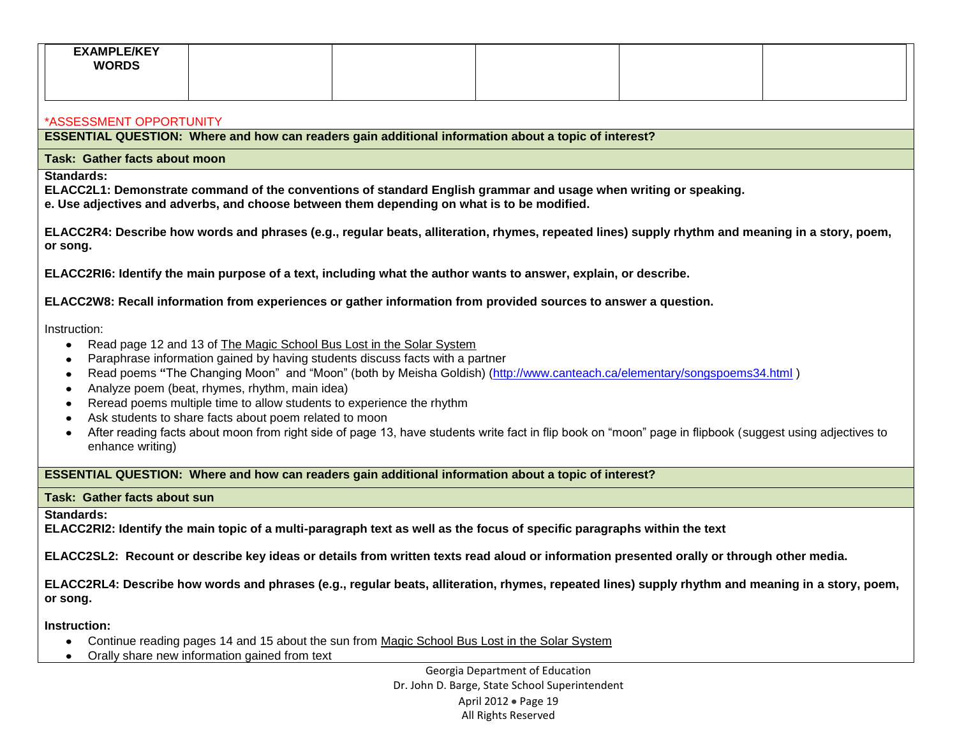| <b>EXAMPLE/KEY</b><br><b>WORDS</b>                                                                                                                                                                                                                                                                                                                                                                                                                                                                                                                                                                                                                                               |  |  |                                                                                                                  |  |  |
|----------------------------------------------------------------------------------------------------------------------------------------------------------------------------------------------------------------------------------------------------------------------------------------------------------------------------------------------------------------------------------------------------------------------------------------------------------------------------------------------------------------------------------------------------------------------------------------------------------------------------------------------------------------------------------|--|--|------------------------------------------------------------------------------------------------------------------|--|--|
|                                                                                                                                                                                                                                                                                                                                                                                                                                                                                                                                                                                                                                                                                  |  |  |                                                                                                                  |  |  |
|                                                                                                                                                                                                                                                                                                                                                                                                                                                                                                                                                                                                                                                                                  |  |  |                                                                                                                  |  |  |
| *ASSESSMENT OPPORTUNITY                                                                                                                                                                                                                                                                                                                                                                                                                                                                                                                                                                                                                                                          |  |  |                                                                                                                  |  |  |
|                                                                                                                                                                                                                                                                                                                                                                                                                                                                                                                                                                                                                                                                                  |  |  | ESSENTIAL QUESTION: Where and how can readers gain additional information about a topic of interest?             |  |  |
| <b>Task: Gather facts about moon</b>                                                                                                                                                                                                                                                                                                                                                                                                                                                                                                                                                                                                                                             |  |  |                                                                                                                  |  |  |
| Standards:<br>ELACC2L1: Demonstrate command of the conventions of standard English grammar and usage when writing or speaking.<br>e. Use adjectives and adverbs, and choose between them depending on what is to be modified.                                                                                                                                                                                                                                                                                                                                                                                                                                                    |  |  |                                                                                                                  |  |  |
| ELACC2R4: Describe how words and phrases (e.g., regular beats, alliteration, rhymes, repeated lines) supply rhythm and meaning in a story, poem,<br>or song.                                                                                                                                                                                                                                                                                                                                                                                                                                                                                                                     |  |  |                                                                                                                  |  |  |
|                                                                                                                                                                                                                                                                                                                                                                                                                                                                                                                                                                                                                                                                                  |  |  | ELACC2RI6: Identify the main purpose of a text, including what the author wants to answer, explain, or describe. |  |  |
|                                                                                                                                                                                                                                                                                                                                                                                                                                                                                                                                                                                                                                                                                  |  |  | ELACC2W8: Recall information from experiences or gather information from provided sources to answer a question.  |  |  |
| Instruction:<br>Read page 12 and 13 of The Magic School Bus Lost in the Solar System<br>Paraphrase information gained by having students discuss facts with a partner<br>Read poems "The Changing Moon" and "Moon" (both by Meisha Goldish) (http://www.canteach.ca/elementary/songspoems34.html)<br>٠<br>Analyze poem (beat, rhymes, rhythm, main idea)<br>Reread poems multiple time to allow students to experience the rhythm<br>Ask students to share facts about poem related to moon<br>After reading facts about moon from right side of page 13, have students write fact in flip book on "moon" page in flipbook (suggest using adjectives to<br>٠<br>enhance writing) |  |  |                                                                                                                  |  |  |
| ESSENTIAL QUESTION: Where and how can readers gain additional information about a topic of interest?                                                                                                                                                                                                                                                                                                                                                                                                                                                                                                                                                                             |  |  |                                                                                                                  |  |  |
| Task: Gather facts about sun                                                                                                                                                                                                                                                                                                                                                                                                                                                                                                                                                                                                                                                     |  |  |                                                                                                                  |  |  |
| <b>Standards:</b><br>ELACC2RI2: Identify the main topic of a multi-paragraph text as well as the focus of specific paragraphs within the text                                                                                                                                                                                                                                                                                                                                                                                                                                                                                                                                    |  |  |                                                                                                                  |  |  |
| ELACC2SL2: Recount or describe key ideas or details from written texts read aloud or information presented orally or through other media.                                                                                                                                                                                                                                                                                                                                                                                                                                                                                                                                        |  |  |                                                                                                                  |  |  |
| ELACC2RL4: Describe how words and phrases (e.g., regular beats, alliteration, rhymes, repeated lines) supply rhythm and meaning in a story, poem,<br>or song.                                                                                                                                                                                                                                                                                                                                                                                                                                                                                                                    |  |  |                                                                                                                  |  |  |
| Instruction:<br>Continue reading pages 14 and 15 about the sun from Magic School Bus Lost in the Solar System<br>Orally share new information gained from text<br>$\bullet$                                                                                                                                                                                                                                                                                                                                                                                                                                                                                                      |  |  |                                                                                                                  |  |  |

Georgia Department of Education Dr. John D. Barge, State School Superintendent April 2012 · Page 19 All Rights Reserved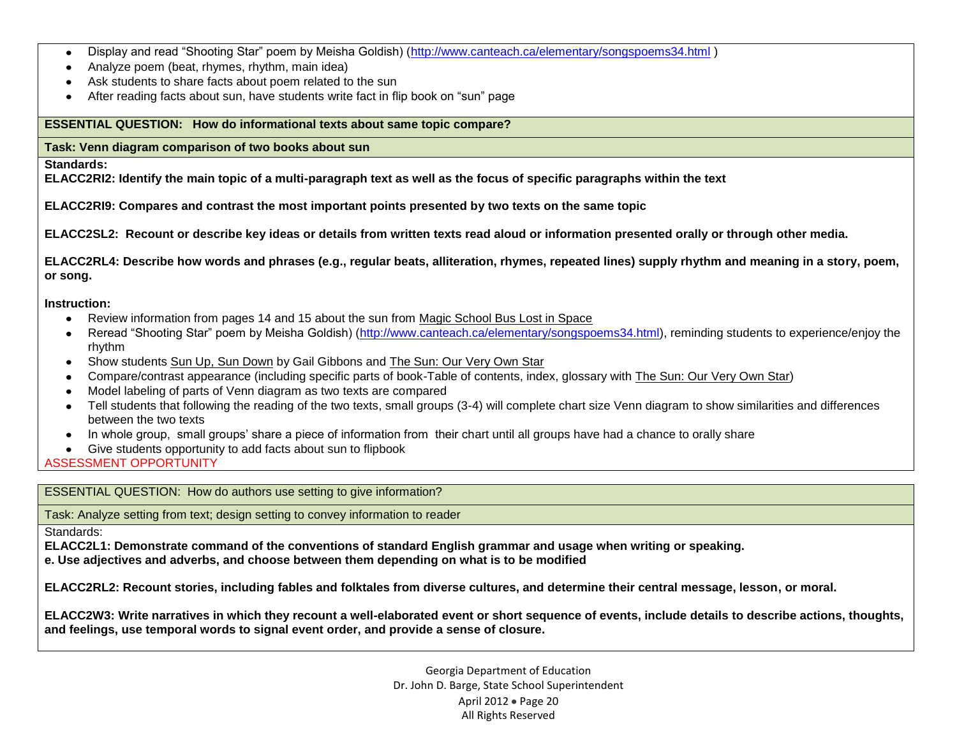- Display and read "Shooting Star" poem by Meisha Goldish) [\(http://www.canteach.ca/elementary/songspoems34.html](http://www.canteach.ca/elementary/songspoems34.html) )  $\bullet$
- Analyze poem (beat, rhymes, rhythm, main idea)
- Ask students to share facts about poem related to the sun
- After reading facts about sun, have students write fact in flip book on "sun" page

# **ESSENTIAL QUESTION: How do informational texts about same topic compare?**

**Task: Venn diagram comparison of two books about sun**

#### **Standards:**

**ELACC2RI2: Identify the main topic of a multi-paragraph text as well as the focus of specific paragraphs within the text**

**ELACC2RI9: Compares and contrast the most important points presented by two texts on the same topic**

**ELACC2SL2: Recount or describe key ideas or details from written texts read aloud or information presented orally or through other media.**

**ELACC2RL4: Describe how words and phrases (e.g., regular beats, alliteration, rhymes, repeated lines) supply rhythm and meaning in a story, poem, or song.** 

**Instruction:** 

- Review information from pages 14 and 15 about the sun from Magic School Bus Lost in Space
- Reread "Shooting Star" poem by Meisha Goldish) [\(http://www.canteach.ca/elementary/songspoems34.html\)](http://www.canteach.ca/elementary/songspoems34.html), reminding students to experience/enjoy the rhythm
- Show students Sun Up, Sun Down by Gail Gibbons and The Sun: Our Very Own Star
- Compare/contrast appearance (including specific parts of book-Table of contents, index, glossary with The Sun: Our Very Own Star)
- Model labeling of parts of Venn diagram as two texts are compared
- Tell students that following the reading of the two texts, small groups (3-4) will complete chart size Venn diagram to show similarities and differences between the two texts
- In whole group, small groups' share a piece of information from their chart until all groups have had a chance to orally share
- Give students opportunity to add facts about sun to flipbook

ASSESSMENT OPPORTUNITY

ESSENTIAL QUESTION: How do authors use setting to give information?

Task: Analyze setting from text; design setting to convey information to reader

Standards:

**ELACC2L1: Demonstrate command of the conventions of standard English grammar and usage when writing or speaking.**

**e. Use adjectives and adverbs, and choose between them depending on what is to be modified**

**ELACC2RL2: Recount stories, including fables and folktales from diverse cultures, and determine their central message, lesson, or moral.**

**ELACC2W3: Write narratives in which they recount a well-elaborated event or short sequence of events, include details to describe actions, thoughts, and feelings, use temporal words to signal event order, and provide a sense of closure.** 

> Georgia Department of Education Dr. John D. Barge, State School Superintendent April 2012 • Page 20 All Rights Reserved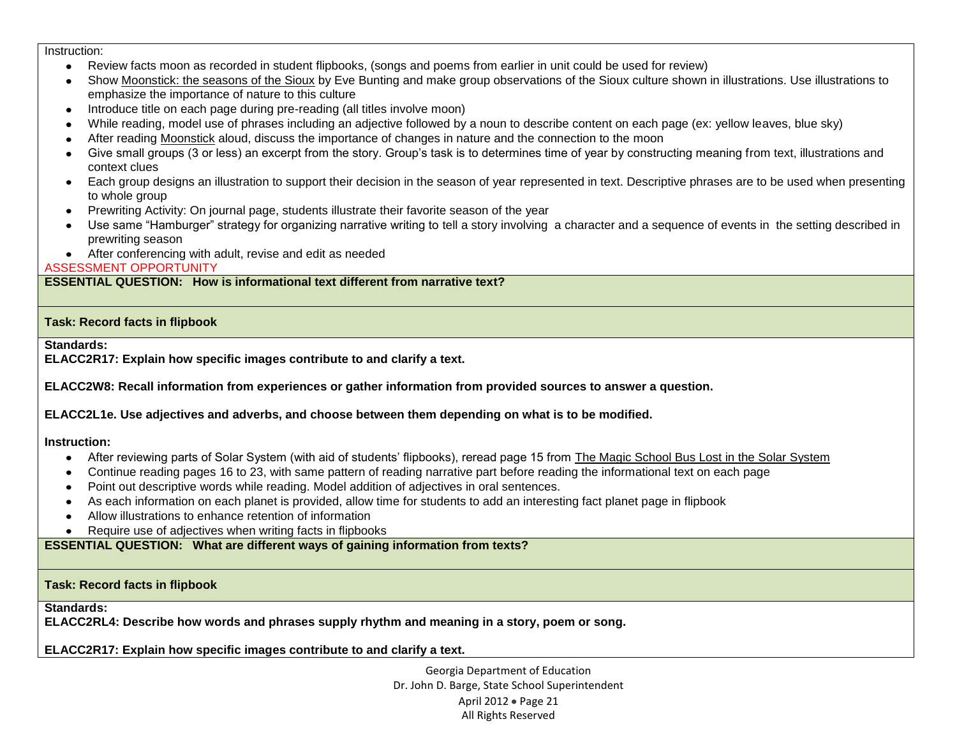Instruction:

- Review facts moon as recorded in student flipbooks, (songs and poems from earlier in unit could be used for review)  $\bullet$
- Show Moonstick: the seasons of the Sioux by Eve Bunting and make group observations of the Sioux culture shown in illustrations. Use illustrations to emphasize the importance of nature to this culture
- Introduce title on each page during pre-reading (all titles involve moon)
- While reading, model use of phrases including an adjective followed by a noun to describe content on each page (ex: yellow leaves, blue sky)  $\bullet$
- After reading Moonstick aloud, discuss the importance of changes in nature and the connection to the moon
- Give small groups (3 or less) an excerpt from the story. Group's task is to determines time of year by constructing meaning from text, illustrations and  $\bullet$ context clues
- Each group designs an illustration to support their decision in the season of year represented in text. Descriptive phrases are to be used when presenting to whole group
- Prewriting Activity: On journal page, students illustrate their favorite season of the year
- Use same "Hamburger" strategy for organizing narrative writing to tell a story involving a character and a sequence of events in the setting described in prewriting season
- After conferencing with adult, revise and edit as needed

ASSESSMENT OPPORTUNITY

**ESSENTIAL QUESTION: How is informational text different from narrative text?**

# **Task: Record facts in flipbook**

**Standards:**

**ELACC2R17: Explain how specific images contribute to and clarify a text.**

**ELACC2W8: Recall information from experiences or gather information from provided sources to answer a question.**

**ELACC2L1e. Use adjectives and adverbs, and choose between them depending on what is to be modified.**

**Instruction:** 

- After reviewing parts of Solar System (with aid of students' flipbooks), reread page 15 from The Magic School Bus Lost in the Solar System
- Continue reading pages 16 to 23, with same pattern of reading narrative part before reading the informational text on each page
- Point out descriptive words while reading. Model addition of adjectives in oral sentences.  $\bullet$
- As each information on each planet is provided, allow time for students to add an interesting fact planet page in flipbook
- Allow illustrations to enhance retention of information
- Require use of adjectives when writing facts in flipbooks

**ESSENTIAL QUESTION: What are different ways of gaining information from texts?** 

# **Task: Record facts in flipbook**

**Standards:** 

**ELACC2RL4: Describe how words and phrases supply rhythm and meaning in a story, poem or song.**

**ELACC2R17: Explain how specific images contribute to and clarify a text.**

Georgia Department of Education Dr. John D. Barge, State School Superintendent April 2012 • Page 21 All Rights Reserved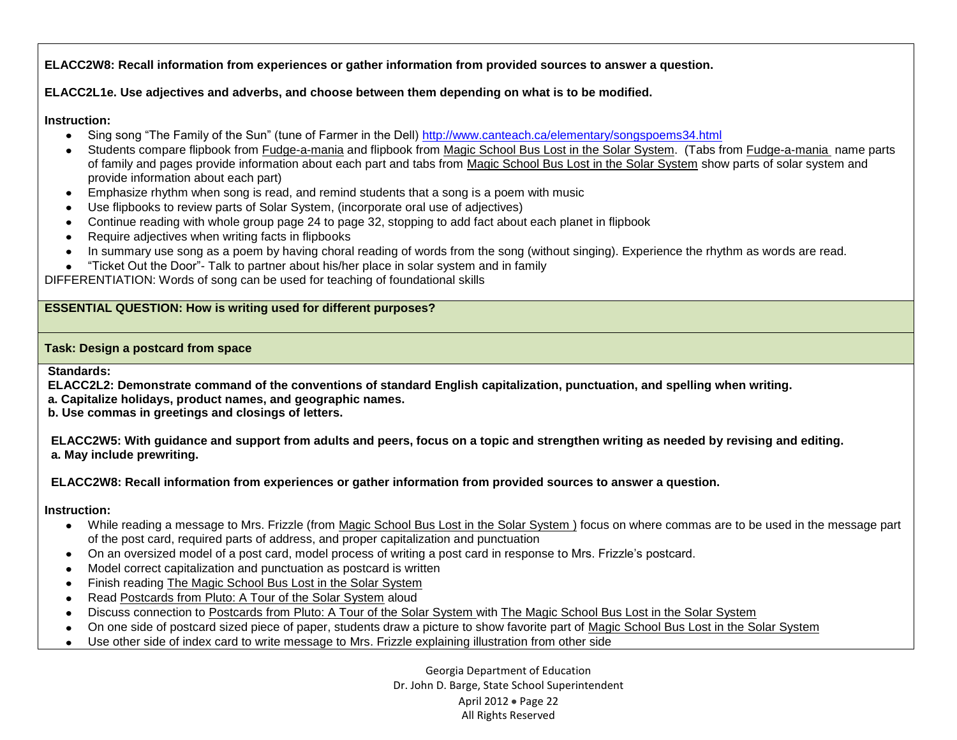# **ELACC2W8: Recall information from experiences or gather information from provided sources to answer a question.**

# **ELACC2L1e. Use adjectives and adverbs, and choose between them depending on what is to be modified.**

# **Instruction:**

- Sing song "The Family of the Sun" (tune of Farmer in the Dell)<http://www.canteach.ca/elementary/songspoems34.html>
- Students compare flipbook from Fudge-a-mania and flipbook from Magic School Bus Lost in the Solar System. (Tabs from Fudge-a-mania name parts of family and pages provide information about each part and tabs from Magic School Bus Lost in the Solar System show parts of solar system and provide information about each part)
- Emphasize rhythm when song is read, and remind students that a song is a poem with music
- Use flipbooks to review parts of Solar System, (incorporate oral use of adjectives)
- Continue reading with whole group page 24 to page 32, stopping to add fact about each planet in flipbook
- Require adjectives when writing facts in flipbooks
- In summary use song as a poem by having choral reading of words from the song (without singing). Experience the rhythm as words are read.
- "Ticket Out the Door"- Talk to partner about his/her place in solar system and in family

DIFFERENTIATION: Words of song can be used for teaching of foundational skills

# **ESSENTIAL QUESTION: How is writing used for different purposes?**

# **Task: Design a postcard from space**

**Standards:**

**ELACC2L2: Demonstrate command of the conventions of standard English capitalization, punctuation, and spelling when writing.**

- **a. Capitalize holidays, product names, and geographic names.**
- **b. Use commas in greetings and closings of letters.**

**ELACC2W5: With guidance and support from adults and peers, focus on a topic and strengthen writing as needed by revising and editing. a. May include prewriting.** 

 **ELACC2W8: Recall information from experiences or gather information from provided sources to answer a question.**

# **Instruction:**

- While reading a message to Mrs. Frizzle (from Magic School Bus Lost in the Solar System ) focus on where commas are to be used in the message part of the post card, required parts of address, and proper capitalization and punctuation
- On an oversized model of a post card, model process of writing a post card in response to Mrs. Frizzle's postcard.
- Model correct capitalization and punctuation as postcard is written  $\bullet$
- Finish reading The Magic School Bus Lost in the Solar System
- Read Postcards from Pluto: A Tour of the Solar System aloud  $\bullet$
- Discuss connection to Postcards from Pluto: A Tour of the Solar System with The Magic School Bus Lost in the Solar System  $\bullet$
- On one side of postcard sized piece of paper, students draw a picture to show favorite part of Magic School Bus Lost in the Solar System  $\bullet$
- Use other side of index card to write message to Mrs. Frizzle explaining illustration from other side

Georgia Department of Education Dr. John D. Barge, State School Superintendent April 2012 • Page 22 All Rights Reserved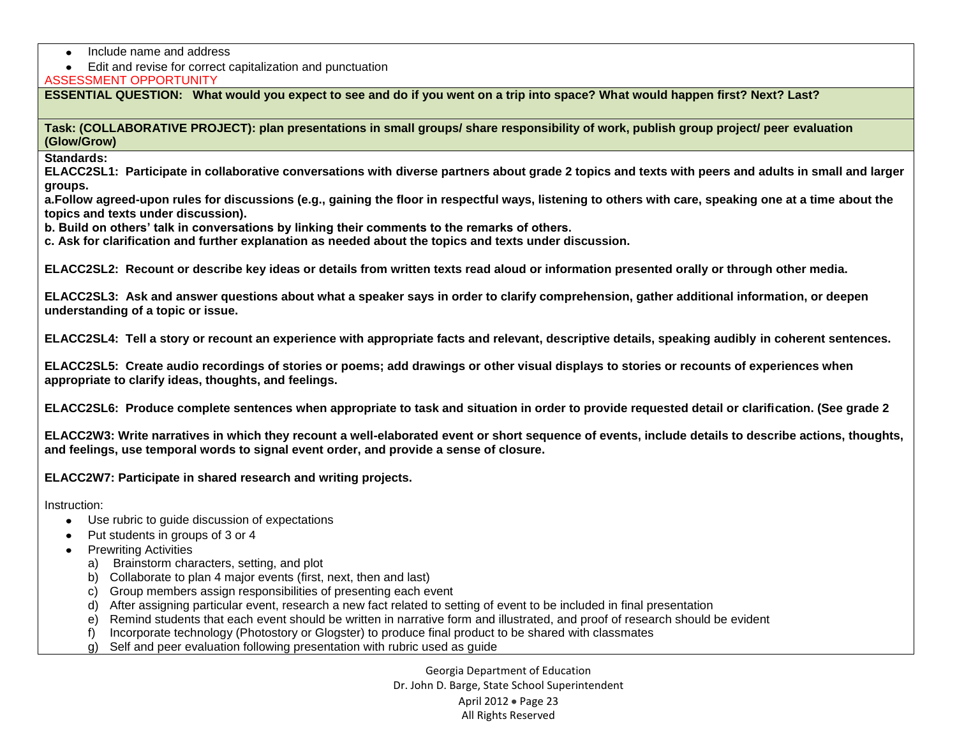- $\bullet$ Include name and address
- Edit and revise for correct capitalization and punctuation
- ASSESSMENT OPPORTUNITY

**ESSENTIAL QUESTION: What would you expect to see and do if you went on a trip into space? What would happen first? Next? Last?**

**Task: (COLLABORATIVE PROJECT): plan presentations in small groups/ share responsibility of work, publish group project/ peer evaluation (Glow/Grow)**

**Standards:** 

**ELACC2SL1: Participate in collaborative conversations with diverse partners about grade 2 topics and texts with peers and adults in small and larger groups.**

**a.Follow agreed-upon rules for discussions (e.g., gaining the floor in respectful ways, listening to others with care, speaking one at a time about the topics and texts under discussion).**

**b. Build on others' talk in conversations by linking their comments to the remarks of others.**

**c. Ask for clarification and further explanation as needed about the topics and texts under discussion.**

**ELACC2SL2: Recount or describe key ideas or details from written texts read aloud or information presented orally or through other media.**

**ELACC2SL3: Ask and answer questions about what a speaker says in order to clarify comprehension, gather additional information, or deepen understanding of a topic or issue.**

**ELACC2SL4: Tell a story or recount an experience with appropriate facts and relevant, descriptive details, speaking audibly in coherent sentences.**

**ELACC2SL5: Create audio recordings of stories or poems; add drawings or other visual displays to stories or recounts of experiences when appropriate to clarify ideas, thoughts, and feelings.**

**ELACC2SL6: Produce complete sentences when appropriate to task and situation in order to provide requested detail or clarification. (See grade 2**

**ELACC2W3: Write narratives in which they recount a well-elaborated event or short sequence of events, include details to describe actions, thoughts, and feelings, use temporal words to signal event order, and provide a sense of closure.**

**ELACC2W7: Participate in shared research and writing projects.**

Instruction:

- Use rubric to guide discussion of expectations
- Put students in groups of 3 or 4
- Prewriting Activities
	- a) Brainstorm characters, setting, and plot
	- b) Collaborate to plan 4 major events (first, next, then and last)
	- c) Group members assign responsibilities of presenting each event
	- d) After assigning particular event, research a new fact related to setting of event to be included in final presentation
	- e) Remind students that each event should be written in narrative form and illustrated, and proof of research should be evident
	- f) Incorporate technology (Photostory or Glogster) to produce final product to be shared with classmates
	- g) Self and peer evaluation following presentation with rubric used as guide

Georgia Department of Education Dr. John D. Barge, State School Superintendent April 2012 • Page 23 All Rights Reserved